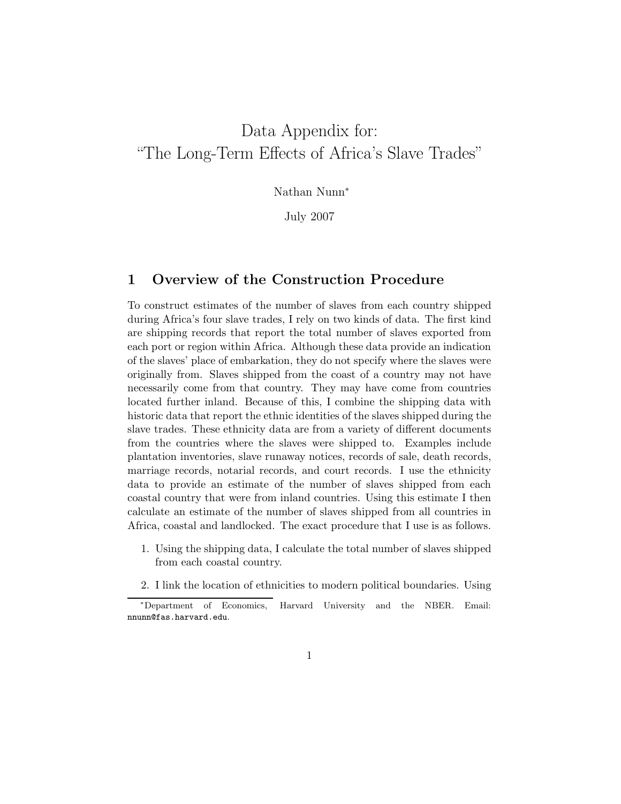# Data Appendix for: "The Long-Term Effects of Africa's Slave Trades"

Nathan Nunn<sup>∗</sup>

July 2007

### 1 Overview of the Construction Procedure

To construct estimates of the number of slaves from each country shipped during Africa's four slave trades, I rely on two kinds of data. The first kind are shipping records that report the total number of slaves exported from each port or region within Africa. Although these data provide an indication of the slaves' place of embarkation, they do not specify where the slaves were originally from. Slaves shipped from the coast of a country may not have necessarily come from that country. They may have come from countries located further inland. Because of this, I combine the shipping data with historic data that report the ethnic identities of the slaves shipped during the slave trades. These ethnicity data are from a variety of different documents from the countries where the slaves were shipped to. Examples include plantation inventories, slave runaway notices, records of sale, death records, marriage records, notarial records, and court records. I use the ethnicity data to provide an estimate of the number of slaves shipped from each coastal country that were from inland countries. Using this estimate I then calculate an estimate of the number of slaves shipped from all countries in Africa, coastal and landlocked. The exact procedure that I use is as follows.

- 1. Using the shipping data, I calculate the total number of slaves shipped from each coastal country.
- 2. I link the location of ethnicities to modern political boundaries. Using

<sup>∗</sup>Department of Economics, Harvard University and the NBER. Email: nnunn@fas.harvard.edu.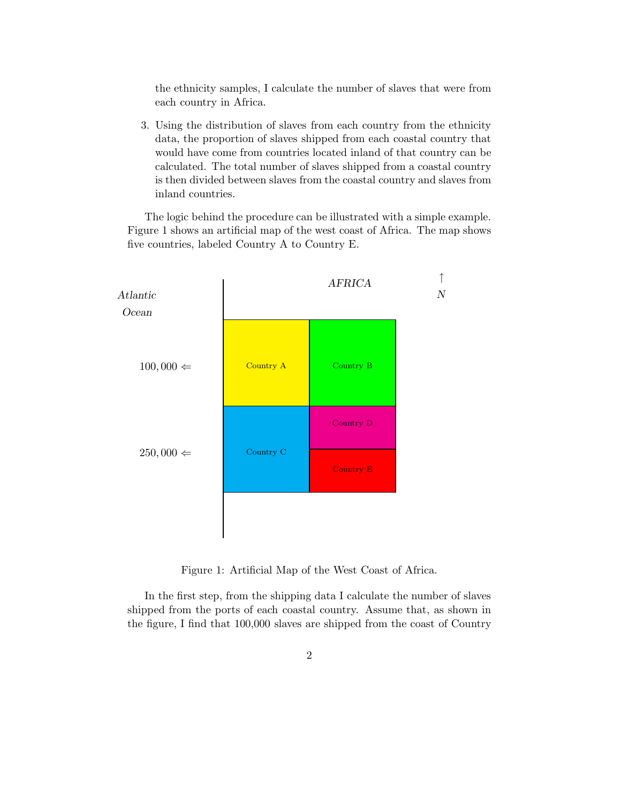the ethnicity samples, I calculate the number of slaves that were from each country in Africa.

3. Using the distribution of slaves from each country from the ethnicity data, the proportion of slaves shipped from each coastal country that would have come from countries located inland of that country can be calculated. The total number of slaves shipped from a coastal country is then divided between slaves from the coastal country and slaves from inland countries.

The logic behind the procedure can be illustrated with a simple example. Figure 1 shows an artificial map of the west coast of Africa. The map shows five countries, labeled Country A to Country E.



Figure 1: Artificial Map of the West Coast of Africa.

In the first step, from the shipping data I calculate the number of slaves shipped from the ports of each coastal country. Assume that, as shown in the figure, I find that 100,000 slaves are shipped from the coast of Country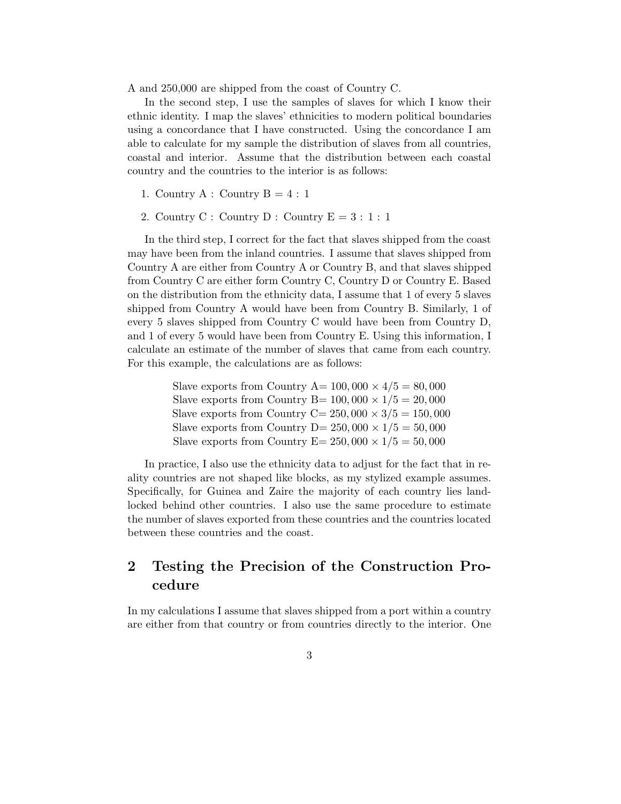A and 250,000 are shipped from the coast of Country C.

In the second step, I use the samples of slaves for which I know their ethnic identity. I map the slaves' ethnicities to modern political boundaries using a concordance that I have constructed. Using the concordance I am able to calculate for my sample the distribution of slaves from all countries, coastal and interior. Assume that the distribution between each coastal country and the countries to the interior is as follows:

- 1. Country A : Country  $B = 4 : 1$
- 2. Country C : Country D : Country  $E = 3 : 1 : 1$

In the third step, I correct for the fact that slaves shipped from the coast may have been from the inland countries. I assume that slaves shipped from Country A are either from Country A or Country B, and that slaves shipped from Country C are either form Country C, Country D or Country E. Based on the distribution from the ethnicity data, I assume that 1 of every 5 slaves shipped from Country A would have been from Country B. Similarly, 1 of every 5 slaves shipped from Country C would have been from Country D, and 1 of every 5 would have been from Country E. Using this information, I calculate an estimate of the number of slaves that came from each country. For this example, the calculations are as follows:

> Slave exports from Country A=  $100,000 \times 4/5 = 80,000$ Slave exports from Country B=  $100,000 \times 1/5 = 20,000$ Slave exports from Country C=  $250,000 \times 3/5 = 150,000$ Slave exports from Country D=  $250,000 \times 1/5 = 50,000$ Slave exports from Country  $E= 250,000 \times 1/5 = 50,000$

In practice, I also use the ethnicity data to adjust for the fact that in reality countries are not shaped like blocks, as my stylized example assumes. Specifically, for Guinea and Zaire the majority of each country lies landlocked behind other countries. I also use the same procedure to estimate the number of slaves exported from these countries and the countries located between these countries and the coast.

# 2 Testing the Precision of the Construction Procedure

In my calculations I assume that slaves shipped from a port within a country are either from that country or from countries directly to the interior. One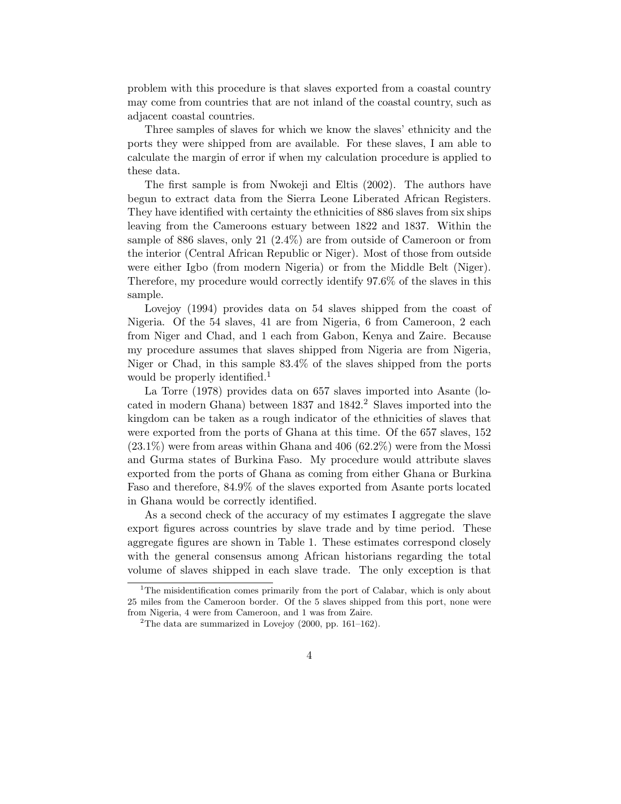problem with this procedure is that slaves exported from a coastal country may come from countries that are not inland of the coastal country, such as adjacent coastal countries.

Three samples of slaves for which we know the slaves' ethnicity and the ports they were shipped from are available. For these slaves, I am able to calculate the margin of error if when my calculation procedure is applied to these data.

The first sample is from Nwokeji and Eltis (2002). The authors have begun to extract data from the Sierra Leone Liberated African Registers. They have identified with certainty the ethnicities of 886 slaves from six ships leaving from the Cameroons estuary between 1822 and 1837. Within the sample of 886 slaves, only 21 (2.4%) are from outside of Cameroon or from the interior (Central African Republic or Niger). Most of those from outside were either Igbo (from modern Nigeria) or from the Middle Belt (Niger). Therefore, my procedure would correctly identify 97.6% of the slaves in this sample.

Lovejoy (1994) provides data on 54 slaves shipped from the coast of Nigeria. Of the 54 slaves, 41 are from Nigeria, 6 from Cameroon, 2 each from Niger and Chad, and 1 each from Gabon, Kenya and Zaire. Because my procedure assumes that slaves shipped from Nigeria are from Nigeria, Niger or Chad, in this sample 83.4% of the slaves shipped from the ports would be properly identified.<sup>1</sup>

La Torre (1978) provides data on 657 slaves imported into Asante (located in modern Ghana) between  $1837$  and  $1842<sup>2</sup>$  Slaves imported into the kingdom can be taken as a rough indicator of the ethnicities of slaves that were exported from the ports of Ghana at this time. Of the 657 slaves, 152  $(23.1\%)$  were from areas within Ghana and 406  $(62.2\%)$  were from the Mossi and Gurma states of Burkina Faso. My procedure would attribute slaves exported from the ports of Ghana as coming from either Ghana or Burkina Faso and therefore, 84.9% of the slaves exported from Asante ports located in Ghana would be correctly identified.

As a second check of the accuracy of my estimates I aggregate the slave export figures across countries by slave trade and by time period. These aggregate figures are shown in Table 1. These estimates correspond closely with the general consensus among African historians regarding the total volume of slaves shipped in each slave trade. The only exception is that

<sup>&</sup>lt;sup>1</sup>The misidentification comes primarily from the port of Calabar, which is only about 25 miles from the Cameroon border. Of the 5 slaves shipped from this port, none were from Nigeria, 4 were from Cameroon, and 1 was from Zaire.

<sup>&</sup>lt;sup>2</sup>The data are summarized in Lovejoy (2000, pp. 161–162).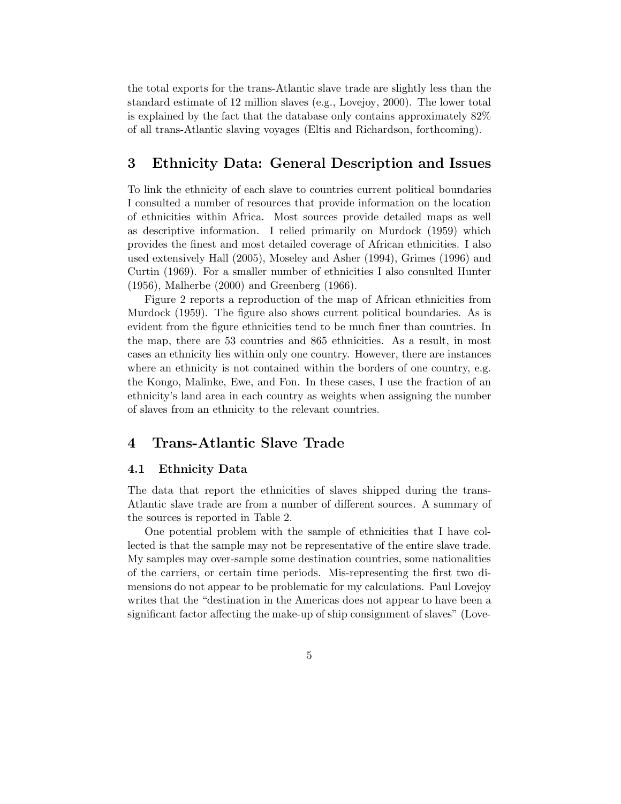the total exports for the trans-Atlantic slave trade are slightly less than the standard estimate of 12 million slaves (e.g., Lovejoy, 2000). The lower total is explained by the fact that the database only contains approximately 82% of all trans-Atlantic slaving voyages (Eltis and Richardson, forthcoming).

# 3 Ethnicity Data: General Description and Issues

To link the ethnicity of each slave to countries current political boundaries I consulted a number of resources that provide information on the location of ethnicities within Africa. Most sources provide detailed maps as well as descriptive information. I relied primarily on Murdock (1959) which provides the finest and most detailed coverage of African ethnicities. I also used extensively Hall (2005), Moseley and Asher (1994), Grimes (1996) and Curtin (1969). For a smaller number of ethnicities I also consulted Hunter (1956), Malherbe (2000) and Greenberg (1966).

Figure 2 reports a reproduction of the map of African ethnicities from Murdock (1959). The figure also shows current political boundaries. As is evident from the figure ethnicities tend to be much finer than countries. In the map, there are 53 countries and 865 ethnicities. As a result, in most cases an ethnicity lies within only one country. However, there are instances where an ethnicity is not contained within the borders of one country, e.g. the Kongo, Malinke, Ewe, and Fon. In these cases, I use the fraction of an ethnicity's land area in each country as weights when assigning the number of slaves from an ethnicity to the relevant countries.

# 4 Trans-Atlantic Slave Trade

### 4.1 Ethnicity Data

The data that report the ethnicities of slaves shipped during the trans-Atlantic slave trade are from a number of different sources. A summary of the sources is reported in Table 2.

One potential problem with the sample of ethnicities that I have collected is that the sample may not be representative of the entire slave trade. My samples may over-sample some destination countries, some nationalities of the carriers, or certain time periods. Mis-representing the first two dimensions do not appear to be problematic for my calculations. Paul Lovejoy writes that the "destination in the Americas does not appear to have been a significant factor affecting the make-up of ship consignment of slaves" (Love-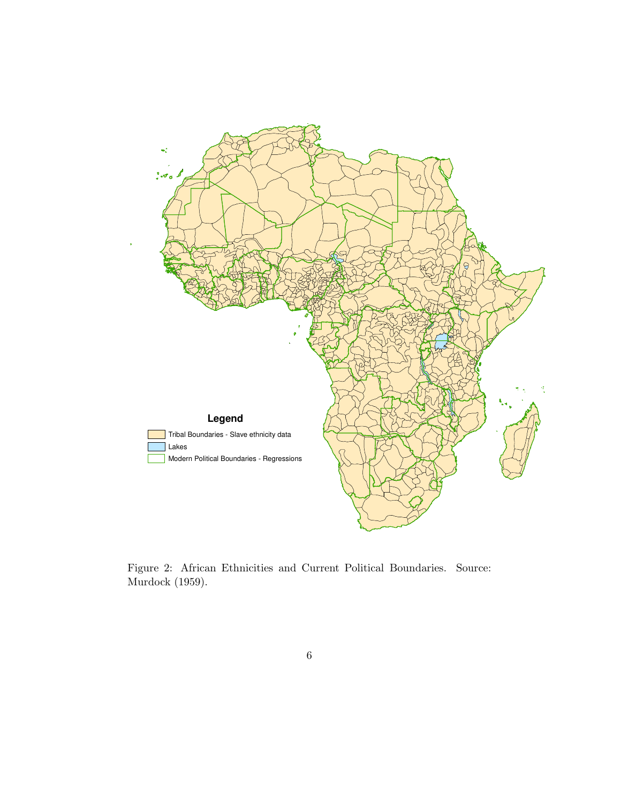

Figure 2: African Ethnicities and Current Political Boundaries. Source: Murdock (1959).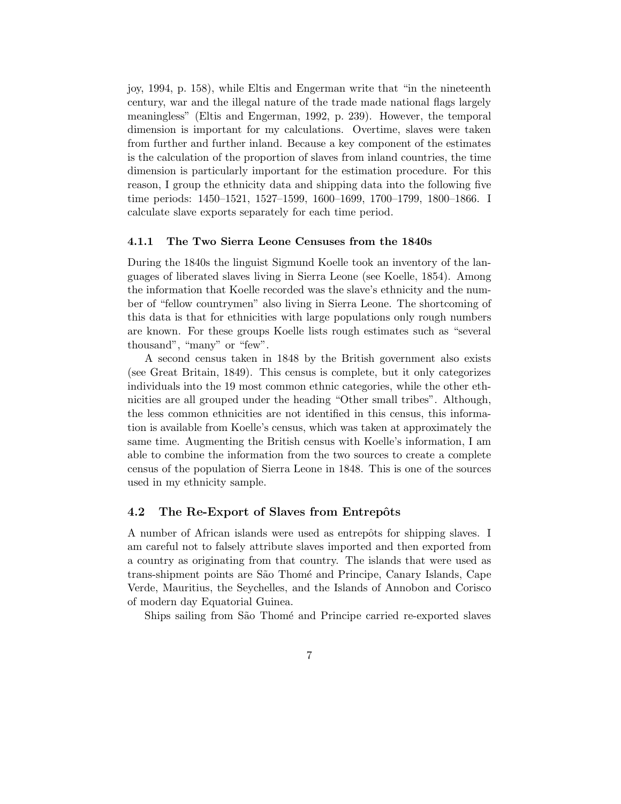joy, 1994, p. 158), while Eltis and Engerman write that "in the nineteenth century, war and the illegal nature of the trade made national flags largely meaningless" (Eltis and Engerman, 1992, p. 239). However, the temporal dimension is important for my calculations. Overtime, slaves were taken from further and further inland. Because a key component of the estimates is the calculation of the proportion of slaves from inland countries, the time dimension is particularly important for the estimation procedure. For this reason, I group the ethnicity data and shipping data into the following five time periods: 1450–1521, 1527–1599, 1600–1699, 1700–1799, 1800–1866. I calculate slave exports separately for each time period.

### 4.1.1 The Two Sierra Leone Censuses from the 1840s

During the 1840s the linguist Sigmund Koelle took an inventory of the languages of liberated slaves living in Sierra Leone (see Koelle, 1854). Among the information that Koelle recorded was the slave's ethnicity and the number of "fellow countrymen" also living in Sierra Leone. The shortcoming of this data is that for ethnicities with large populations only rough numbers are known. For these groups Koelle lists rough estimates such as "several thousand", "many" or "few".

A second census taken in 1848 by the British government also exists (see Great Britain, 1849). This census is complete, but it only categorizes individuals into the 19 most common ethnic categories, while the other ethnicities are all grouped under the heading "Other small tribes". Although, the less common ethnicities are not identified in this census, this information is available from Koelle's census, which was taken at approximately the same time. Augmenting the British census with Koelle's information, I am able to combine the information from the two sources to create a complete census of the population of Sierra Leone in 1848. This is one of the sources used in my ethnicity sample.

#### 4.2 The Re-Export of Slaves from Entrepôts

A number of African islands were used as entrepôts for shipping slaves. I am careful not to falsely attribute slaves imported and then exported from a country as originating from that country. The islands that were used as trans-shipment points are São Thomé and Principe, Canary Islands, Cape Verde, Mauritius, the Seychelles, and the Islands of Annobon and Corisco of modern day Equatorial Guinea.

Ships sailing from São Thomé and Principe carried re-exported slaves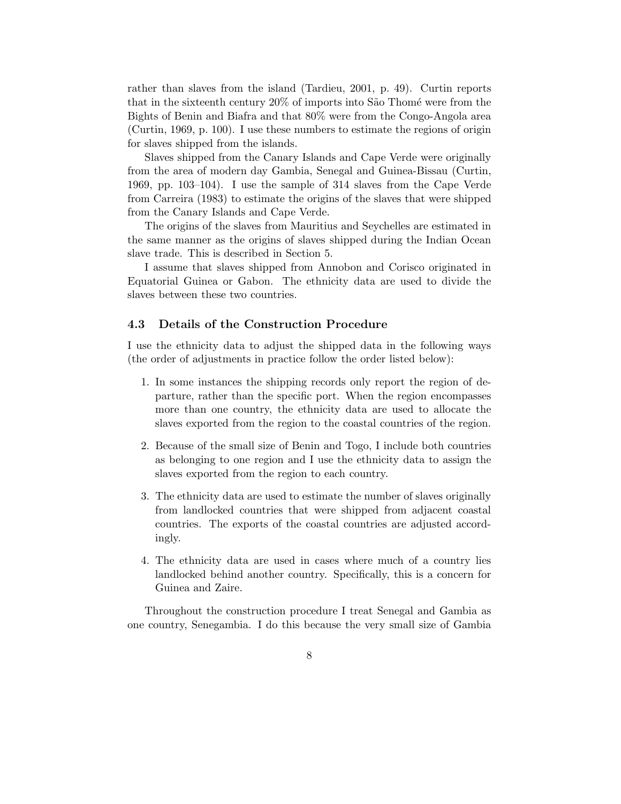rather than slaves from the island (Tardieu, 2001, p. 49). Curtin reports that in the sixteenth century  $20\%$  of imports into São Thomé were from the Bights of Benin and Biafra and that 80% were from the Congo-Angola area (Curtin, 1969, p. 100). I use these numbers to estimate the regions of origin for slaves shipped from the islands.

Slaves shipped from the Canary Islands and Cape Verde were originally from the area of modern day Gambia, Senegal and Guinea-Bissau (Curtin, 1969, pp. 103–104). I use the sample of 314 slaves from the Cape Verde from Carreira (1983) to estimate the origins of the slaves that were shipped from the Canary Islands and Cape Verde.

The origins of the slaves from Mauritius and Seychelles are estimated in the same manner as the origins of slaves shipped during the Indian Ocean slave trade. This is described in Section 5.

I assume that slaves shipped from Annobon and Corisco originated in Equatorial Guinea or Gabon. The ethnicity data are used to divide the slaves between these two countries.

### 4.3 Details of the Construction Procedure

I use the ethnicity data to adjust the shipped data in the following ways (the order of adjustments in practice follow the order listed below):

- 1. In some instances the shipping records only report the region of departure, rather than the specific port. When the region encompasses more than one country, the ethnicity data are used to allocate the slaves exported from the region to the coastal countries of the region.
- 2. Because of the small size of Benin and Togo, I include both countries as belonging to one region and I use the ethnicity data to assign the slaves exported from the region to each country.
- 3. The ethnicity data are used to estimate the number of slaves originally from landlocked countries that were shipped from adjacent coastal countries. The exports of the coastal countries are adjusted accordingly.
- 4. The ethnicity data are used in cases where much of a country lies landlocked behind another country. Specifically, this is a concern for Guinea and Zaire.

Throughout the construction procedure I treat Senegal and Gambia as one country, Senegambia. I do this because the very small size of Gambia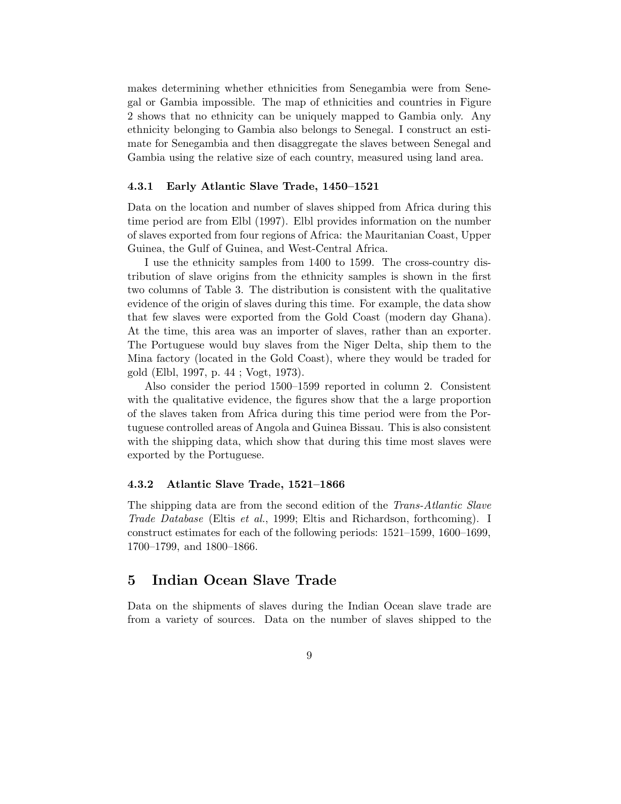makes determining whether ethnicities from Senegambia were from Senegal or Gambia impossible. The map of ethnicities and countries in Figure 2 shows that no ethnicity can be uniquely mapped to Gambia only. Any ethnicity belonging to Gambia also belongs to Senegal. I construct an estimate for Senegambia and then disaggregate the slaves between Senegal and Gambia using the relative size of each country, measured using land area.

#### 4.3.1 Early Atlantic Slave Trade, 1450–1521

Data on the location and number of slaves shipped from Africa during this time period are from Elbl (1997). Elbl provides information on the number of slaves exported from four regions of Africa: the Mauritanian Coast, Upper Guinea, the Gulf of Guinea, and West-Central Africa.

I use the ethnicity samples from 1400 to 1599. The cross-country distribution of slave origins from the ethnicity samples is shown in the first two columns of Table 3. The distribution is consistent with the qualitative evidence of the origin of slaves during this time. For example, the data show that few slaves were exported from the Gold Coast (modern day Ghana). At the time, this area was an importer of slaves, rather than an exporter. The Portuguese would buy slaves from the Niger Delta, ship them to the Mina factory (located in the Gold Coast), where they would be traded for gold (Elbl, 1997, p. 44 ; Vogt, 1973).

Also consider the period 1500–1599 reported in column 2. Consistent with the qualitative evidence, the figures show that the a large proportion of the slaves taken from Africa during this time period were from the Portuguese controlled areas of Angola and Guinea Bissau. This is also consistent with the shipping data, which show that during this time most slaves were exported by the Portuguese.

#### 4.3.2 Atlantic Slave Trade, 1521–1866

The shipping data are from the second edition of the Trans-Atlantic Slave Trade Database (Eltis et al., 1999; Eltis and Richardson, forthcoming). I construct estimates for each of the following periods: 1521–1599, 1600–1699, 1700–1799, and 1800–1866.

### 5 Indian Ocean Slave Trade

Data on the shipments of slaves during the Indian Ocean slave trade are from a variety of sources. Data on the number of slaves shipped to the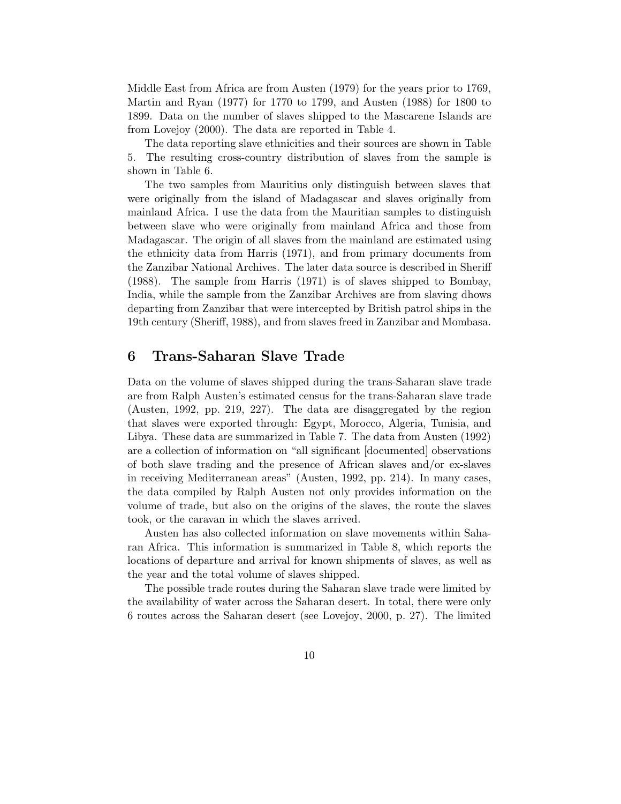Middle East from Africa are from Austen (1979) for the years prior to 1769, Martin and Ryan (1977) for 1770 to 1799, and Austen (1988) for 1800 to 1899. Data on the number of slaves shipped to the Mascarene Islands are from Lovejoy (2000). The data are reported in Table 4.

The data reporting slave ethnicities and their sources are shown in Table 5. The resulting cross-country distribution of slaves from the sample is shown in Table 6.

The two samples from Mauritius only distinguish between slaves that were originally from the island of Madagascar and slaves originally from mainland Africa. I use the data from the Mauritian samples to distinguish between slave who were originally from mainland Africa and those from Madagascar. The origin of all slaves from the mainland are estimated using the ethnicity data from Harris (1971), and from primary documents from the Zanzibar National Archives. The later data source is described in Sheriff (1988). The sample from Harris (1971) is of slaves shipped to Bombay, India, while the sample from the Zanzibar Archives are from slaving dhows departing from Zanzibar that were intercepted by British patrol ships in the 19th century (Sheriff, 1988), and from slaves freed in Zanzibar and Mombasa.

### 6 Trans-Saharan Slave Trade

Data on the volume of slaves shipped during the trans-Saharan slave trade are from Ralph Austen's estimated census for the trans-Saharan slave trade (Austen, 1992, pp. 219, 227). The data are disaggregated by the region that slaves were exported through: Egypt, Morocco, Algeria, Tunisia, and Libya. These data are summarized in Table 7. The data from Austen (1992) are a collection of information on "all significant [documented] observations of both slave trading and the presence of African slaves and/or ex-slaves in receiving Mediterranean areas" (Austen, 1992, pp. 214). In many cases, the data compiled by Ralph Austen not only provides information on the volume of trade, but also on the origins of the slaves, the route the slaves took, or the caravan in which the slaves arrived.

Austen has also collected information on slave movements within Saharan Africa. This information is summarized in Table 8, which reports the locations of departure and arrival for known shipments of slaves, as well as the year and the total volume of slaves shipped.

The possible trade routes during the Saharan slave trade were limited by the availability of water across the Saharan desert. In total, there were only 6 routes across the Saharan desert (see Lovejoy, 2000, p. 27). The limited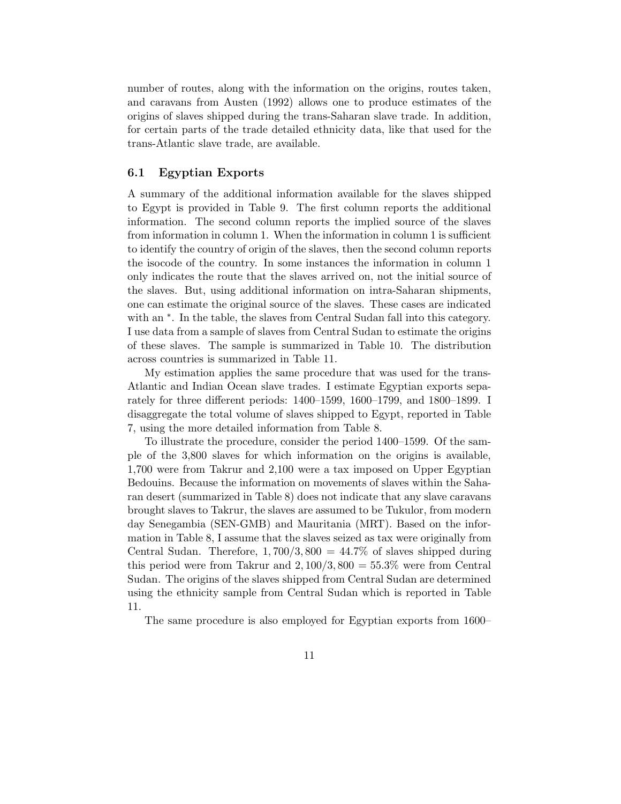number of routes, along with the information on the origins, routes taken, and caravans from Austen (1992) allows one to produce estimates of the origins of slaves shipped during the trans-Saharan slave trade. In addition, for certain parts of the trade detailed ethnicity data, like that used for the trans-Atlantic slave trade, are available.

### 6.1 Egyptian Exports

A summary of the additional information available for the slaves shipped to Egypt is provided in Table 9. The first column reports the additional information. The second column reports the implied source of the slaves from information in column 1. When the information in column 1 is sufficient to identify the country of origin of the slaves, then the second column reports the isocode of the country. In some instances the information in column 1 only indicates the route that the slaves arrived on, not the initial source of the slaves. But, using additional information on intra-Saharan shipments, one can estimate the original source of the slaves. These cases are indicated with an  $*$ . In the table, the slaves from Central Sudan fall into this category. I use data from a sample of slaves from Central Sudan to estimate the origins of these slaves. The sample is summarized in Table 10. The distribution across countries is summarized in Table 11.

My estimation applies the same procedure that was used for the trans-Atlantic and Indian Ocean slave trades. I estimate Egyptian exports separately for three different periods: 1400–1599, 1600–1799, and 1800–1899. I disaggregate the total volume of slaves shipped to Egypt, reported in Table 7, using the more detailed information from Table 8.

To illustrate the procedure, consider the period 1400–1599. Of the sample of the 3,800 slaves for which information on the origins is available, 1,700 were from Takrur and 2,100 were a tax imposed on Upper Egyptian Bedouins. Because the information on movements of slaves within the Saharan desert (summarized in Table 8) does not indicate that any slave caravans brought slaves to Takrur, the slaves are assumed to be Tukulor, from modern day Senegambia (SEN-GMB) and Mauritania (MRT). Based on the information in Table 8, I assume that the slaves seized as tax were originally from Central Sudan. Therefore,  $1,700/3,800 = 44.7\%$  of slaves shipped during this period were from Takrur and  $2,100/3,800 = 55.3\%$  were from Central Sudan. The origins of the slaves shipped from Central Sudan are determined using the ethnicity sample from Central Sudan which is reported in Table 11.

The same procedure is also employed for Egyptian exports from 1600–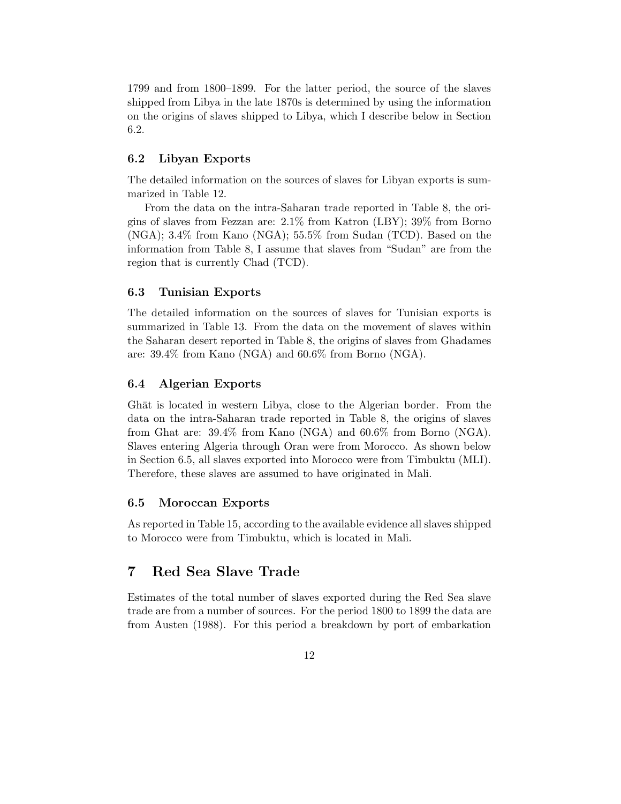1799 and from 1800–1899. For the latter period, the source of the slaves shipped from Libya in the late 1870s is determined by using the information on the origins of slaves shipped to Libya, which I describe below in Section 6.2.

### 6.2 Libyan Exports

The detailed information on the sources of slaves for Libyan exports is summarized in Table 12.

From the data on the intra-Saharan trade reported in Table 8, the origins of slaves from Fezzan are: 2.1% from Katron (LBY); 39% from Borno (NGA); 3.4% from Kano (NGA); 55.5% from Sudan (TCD). Based on the information from Table 8, I assume that slaves from "Sudan" are from the region that is currently Chad (TCD).

### 6.3 Tunisian Exports

The detailed information on the sources of slaves for Tunisian exports is summarized in Table 13. From the data on the movement of slaves within the Saharan desert reported in Table 8, the origins of slaves from Ghadames are: 39.4% from Kano (NGA) and 60.6% from Borno (NGA).

### 6.4 Algerian Exports

Ghat is located in western Libya, close to the Algerian border. From the data on the intra-Saharan trade reported in Table 8, the origins of slaves from Ghat are: 39.4% from Kano (NGA) and 60.6% from Borno (NGA). Slaves entering Algeria through Oran were from Morocco. As shown below in Section 6.5, all slaves exported into Morocco were from Timbuktu (MLI). Therefore, these slaves are assumed to have originated in Mali.

#### 6.5 Moroccan Exports

As reported in Table 15, according to the available evidence all slaves shipped to Morocco were from Timbuktu, which is located in Mali.

# 7 Red Sea Slave Trade

Estimates of the total number of slaves exported during the Red Sea slave trade are from a number of sources. For the period 1800 to 1899 the data are from Austen (1988). For this period a breakdown by port of embarkation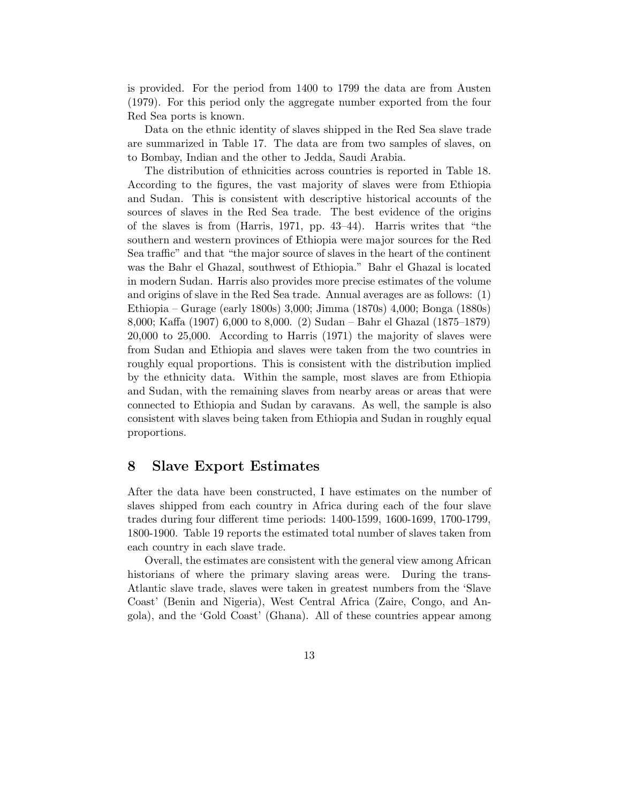is provided. For the period from 1400 to 1799 the data are from Austen (1979). For this period only the aggregate number exported from the four Red Sea ports is known.

Data on the ethnic identity of slaves shipped in the Red Sea slave trade are summarized in Table 17. The data are from two samples of slaves, on to Bombay, Indian and the other to Jedda, Saudi Arabia.

The distribution of ethnicities across countries is reported in Table 18. According to the figures, the vast majority of slaves were from Ethiopia and Sudan. This is consistent with descriptive historical accounts of the sources of slaves in the Red Sea trade. The best evidence of the origins of the slaves is from (Harris, 1971, pp. 43–44). Harris writes that "the southern and western provinces of Ethiopia were major sources for the Red Sea traffic" and that "the major source of slaves in the heart of the continent was the Bahr el Ghazal, southwest of Ethiopia." Bahr el Ghazal is located in modern Sudan. Harris also provides more precise estimates of the volume and origins of slave in the Red Sea trade. Annual averages are as follows: (1) Ethiopia – Gurage (early 1800s) 3,000; Jimma (1870s) 4,000; Bonga (1880s) 8,000; Kaffa (1907) 6,000 to 8,000. (2) Sudan – Bahr el Ghazal (1875–1879) 20,000 to 25,000. According to Harris (1971) the majority of slaves were from Sudan and Ethiopia and slaves were taken from the two countries in roughly equal proportions. This is consistent with the distribution implied by the ethnicity data. Within the sample, most slaves are from Ethiopia and Sudan, with the remaining slaves from nearby areas or areas that were connected to Ethiopia and Sudan by caravans. As well, the sample is also consistent with slaves being taken from Ethiopia and Sudan in roughly equal proportions.

### 8 Slave Export Estimates

After the data have been constructed, I have estimates on the number of slaves shipped from each country in Africa during each of the four slave trades during four different time periods: 1400-1599, 1600-1699, 1700-1799, 1800-1900. Table 19 reports the estimated total number of slaves taken from each country in each slave trade.

Overall, the estimates are consistent with the general view among African historians of where the primary slaving areas were. During the trans-Atlantic slave trade, slaves were taken in greatest numbers from the 'Slave Coast' (Benin and Nigeria), West Central Africa (Zaire, Congo, and Angola), and the 'Gold Coast' (Ghana). All of these countries appear among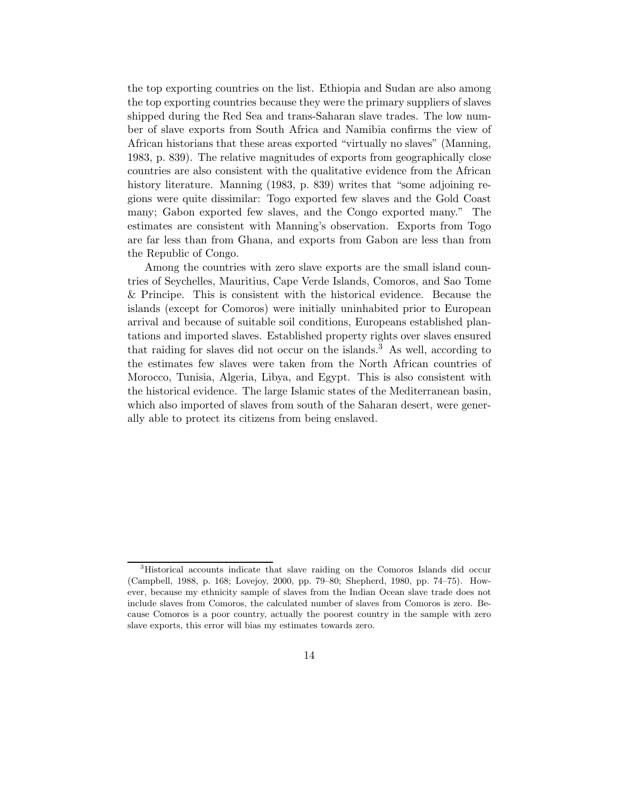the top exporting countries on the list. Ethiopia and Sudan are also among the top exporting countries because they were the primary suppliers of slaves shipped during the Red Sea and trans-Saharan slave trades. The low number of slave exports from South Africa and Namibia confirms the view of African historians that these areas exported "virtually no slaves" (Manning, 1983, p. 839). The relative magnitudes of exports from geographically close countries are also consistent with the qualitative evidence from the African history literature. Manning (1983, p. 839) writes that "some adjoining regions were quite dissimilar: Togo exported few slaves and the Gold Coast many; Gabon exported few slaves, and the Congo exported many." The estimates are consistent with Manning's observation. Exports from Togo are far less than from Ghana, and exports from Gabon are less than from the Republic of Congo.

Among the countries with zero slave exports are the small island countries of Seychelles, Mauritius, Cape Verde Islands, Comoros, and Sao Tome & Principe. This is consistent with the historical evidence. Because the islands (except for Comoros) were initially uninhabited prior to European arrival and because of suitable soil conditions, Europeans established plantations and imported slaves. Established property rights over slaves ensured that raiding for slaves did not occur on the islands.<sup>3</sup> As well, according to the estimates few slaves were taken from the North African countries of Morocco, Tunisia, Algeria, Libya, and Egypt. This is also consistent with the historical evidence. The large Islamic states of the Mediterranean basin, which also imported of slaves from south of the Saharan desert, were generally able to protect its citizens from being enslaved.

<sup>3</sup>Historical accounts indicate that slave raiding on the Comoros Islands did occur (Campbell, 1988, p. 168; Lovejoy, 2000, pp. 79–80; Shepherd, 1980, pp. 74–75). However, because my ethnicity sample of slaves from the Indian Ocean slave trade does not include slaves from Comoros, the calculated number of slaves from Comoros is zero. Because Comoros is a poor country, actually the poorest country in the sample with zero slave exports, this error will bias my estimates towards zero.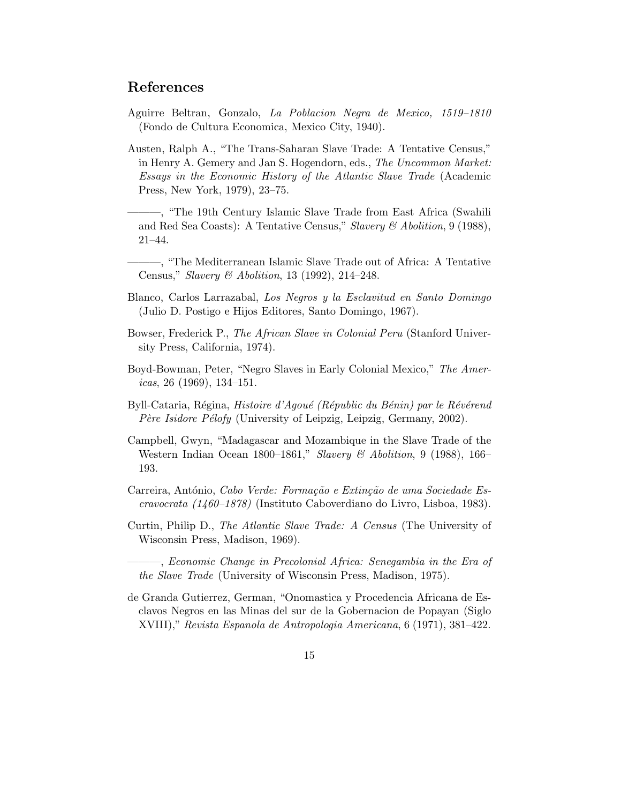### References

- Aguirre Beltran, Gonzalo, La Poblacion Negra de Mexico, 1519–1810 (Fondo de Cultura Economica, Mexico City, 1940).
- Austen, Ralph A., "The Trans-Saharan Slave Trade: A Tentative Census," in Henry A. Gemery and Jan S. Hogendorn, eds., The Uncommon Market: Essays in the Economic History of the Atlantic Slave Trade (Academic Press, New York, 1979), 23–75.

———, "The 19th Century Islamic Slave Trade from East Africa (Swahili and Red Sea Coasts): A Tentative Census," Slavery & Abolition, 9 (1988), 21–44.

———, "The Mediterranean Islamic Slave Trade out of Africa: A Tentative Census," Slavery & Abolition, 13 (1992), 214–248.

- Blanco, Carlos Larrazabal, Los Negros y la Esclavitud en Santo Domingo (Julio D. Postigo e Hijos Editores, Santo Domingo, 1967).
- Bowser, Frederick P., The African Slave in Colonial Peru (Stanford University Press, California, 1974).
- Boyd-Bowman, Peter, "Negro Slaves in Early Colonial Mexico," The Amer*icas*, 26 (1969), 134–151.
- Byll-Cataria, Régina, Histoire d'Agoué (Républic du Bénin) par le Révérend Père Isidore Pélofy (University of Leipzig, Leipzig, Germany, 2002).
- Campbell, Gwyn, "Madagascar and Mozambique in the Slave Trade of the Western Indian Ocean 1800–1861," Slavery & Abolition, 9 (1988), 166– 193.
- Carreira, António, Cabo Verde: Formação e Extinção de uma Sociedade Escravocrata (1460–1878) (Instituto Caboverdiano do Livro, Lisboa, 1983).
- Curtin, Philip D., The Atlantic Slave Trade: A Census (The University of Wisconsin Press, Madison, 1969).

———, Economic Change in Precolonial Africa: Senegambia in the Era of the Slave Trade (University of Wisconsin Press, Madison, 1975).

de Granda Gutierrez, German, "Onomastica y Procedencia Africana de Esclavos Negros en las Minas del sur de la Gobernacion de Popayan (Siglo XVIII)," Revista Espanola de Antropologia Americana, 6 (1971), 381–422.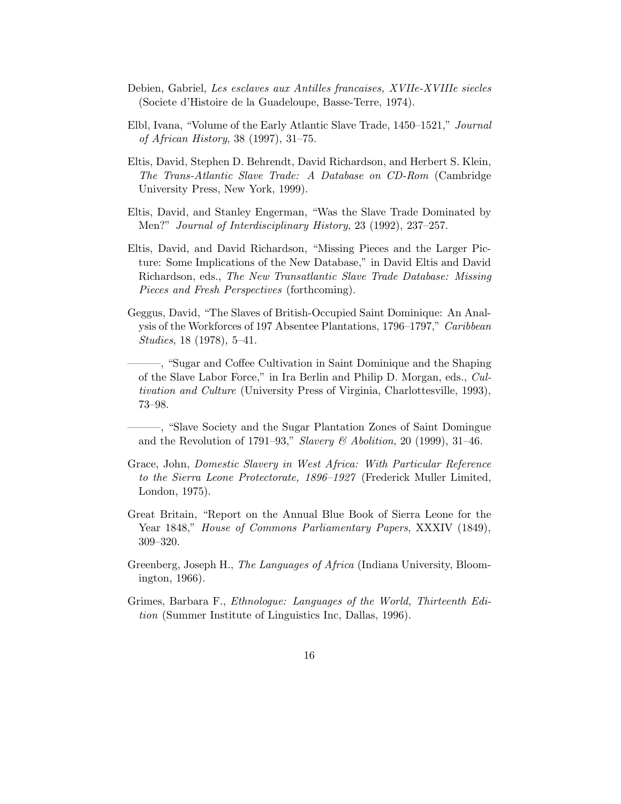- Debien, Gabriel, Les esclaves aux Antilles francaises, XVIIe-XVIIIe siecles (Societe d'Histoire de la Guadeloupe, Basse-Terre, 1974).
- Elbl, Ivana, "Volume of the Early Atlantic Slave Trade, 1450–1521," Journal of African History, 38 (1997), 31–75.
- Eltis, David, Stephen D. Behrendt, David Richardson, and Herbert S. Klein, The Trans-Atlantic Slave Trade: A Database on CD-Rom (Cambridge University Press, New York, 1999).
- Eltis, David, and Stanley Engerman, "Was the Slave Trade Dominated by Men?" Journal of Interdisciplinary History, 23 (1992), 237–257.
- Eltis, David, and David Richardson, "Missing Pieces and the Larger Picture: Some Implications of the New Database," in David Eltis and David Richardson, eds., The New Transatlantic Slave Trade Database: Missing Pieces and Fresh Perspectives (forthcoming).
- Geggus, David, "The Slaves of British-Occupied Saint Dominique: An Analysis of the Workforces of 197 Absentee Plantations, 1796–1797," Caribbean Studies, 18 (1978), 5–41.
	- ———, "Sugar and Coffee Cultivation in Saint Dominique and the Shaping of the Slave Labor Force," in Ira Berlin and Philip D. Morgan, eds., Cultivation and Culture (University Press of Virginia, Charlottesville, 1993), 73–98.

———, "Slave Society and the Sugar Plantation Zones of Saint Domingue and the Revolution of 1791–93," Slavery & Abolition, 20 (1999), 31–46.

- Grace, John, Domestic Slavery in West Africa: With Particular Reference to the Sierra Leone Protectorate, 1896–1927 (Frederick Muller Limited, London, 1975).
- Great Britain, "Report on the Annual Blue Book of Sierra Leone for the Year 1848," House of Commons Parliamentary Papers, XXXIV (1849), 309–320.
- Greenberg, Joseph H., The Languages of Africa (Indiana University, Bloomington, 1966).
- Grimes, Barbara F., Ethnologue: Languages of the World, Thirteenth Edition (Summer Institute of Linguistics Inc, Dallas, 1996).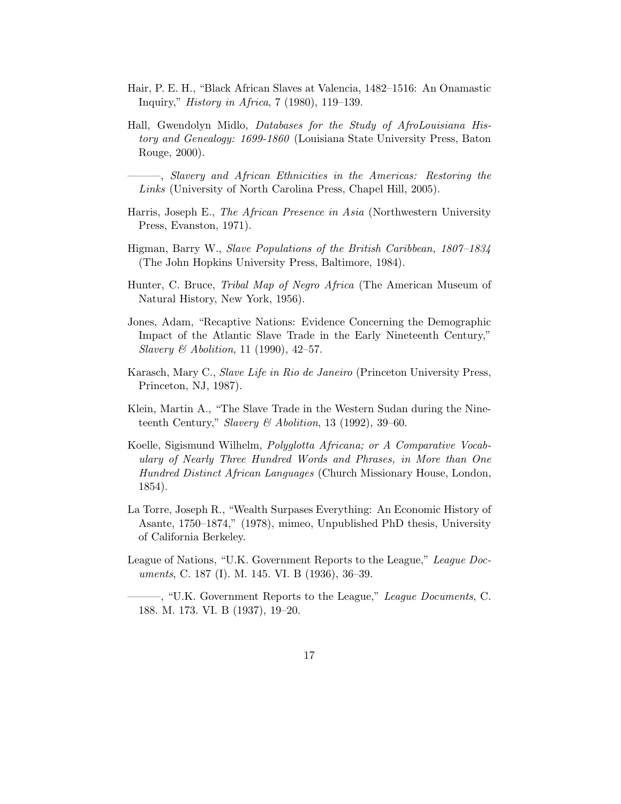- Hair, P. E. H., "Black African Slaves at Valencia, 1482–1516: An Onamastic Inquiry," History in Africa, 7 (1980), 119–139.
- Hall, Gwendolyn Midlo, Databases for the Study of AfroLouisiana History and Genealogy: 1699-1860 (Louisiana State University Press, Baton Rouge, 2000).

———, Slavery and African Ethnicities in the Americas: Restoring the Links (University of North Carolina Press, Chapel Hill, 2005).

- Harris, Joseph E., The African Presence in Asia (Northwestern University Press, Evanston, 1971).
- Higman, Barry W., Slave Populations of the British Caribbean, 1807–1834 (The John Hopkins University Press, Baltimore, 1984).
- Hunter, C. Bruce, Tribal Map of Negro Africa (The American Museum of Natural History, New York, 1956).
- Jones, Adam, "Recaptive Nations: Evidence Concerning the Demographic Impact of the Atlantic Slave Trade in the Early Nineteenth Century," *Slavery & Abolition*, 11 (1990), 42–57.
- Karasch, Mary C., Slave Life in Rio de Janeiro (Princeton University Press, Princeton, NJ, 1987).
- Klein, Martin A., "The Slave Trade in the Western Sudan during the Nineteenth Century," Slavery & Abolition, 13 (1992), 39–60.
- Koelle, Sigismund Wilhelm, Polyglotta Africana; or A Comparative Vocabulary of Nearly Three Hundred Words and Phrases, in More than One Hundred Distinct African Languages (Church Missionary House, London, 1854).
- La Torre, Joseph R., "Wealth Surpases Everything: An Economic History of Asante, 1750–1874," (1978), mimeo, Unpublished PhD thesis, University of California Berkeley.
- League of Nations, "U.K. Government Reports to the League," League Documents, C. 187 (I). M. 145. VI. B (1936), 36–39.

<sup>–, &</sup>quot;U.K. Government Reports to the League," League Documents, C. 188. M. 173. VI. B (1937), 19–20.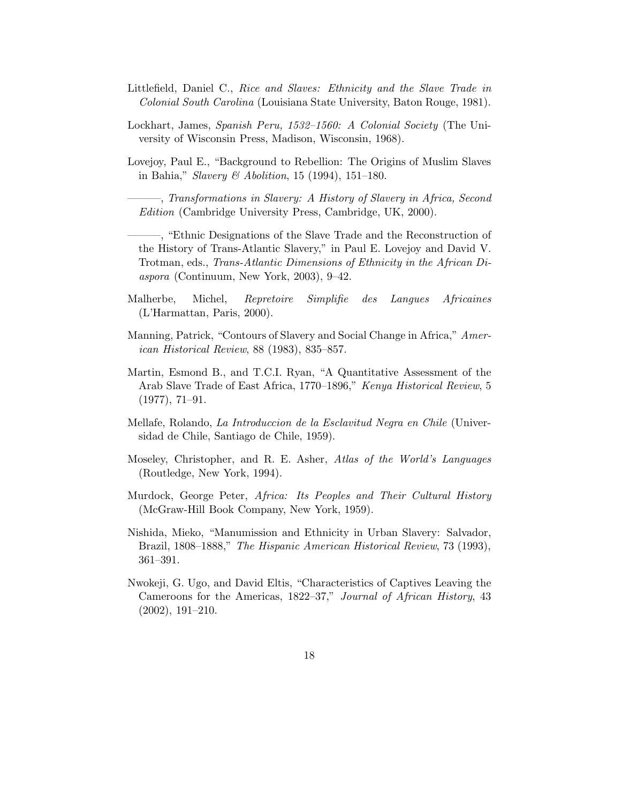- Littlefield, Daniel C., Rice and Slaves: Ethnicity and the Slave Trade in Colonial South Carolina (Louisiana State University, Baton Rouge, 1981).
- Lockhart, James, Spanish Peru, 1532–1560: A Colonial Society (The University of Wisconsin Press, Madison, Wisconsin, 1968).
- Lovejoy, Paul E., "Background to Rebellion: The Origins of Muslim Slaves in Bahia," Slavery & Abolition, 15 (1994), 151–180.
	- ———, Transformations in Slavery: A History of Slavery in Africa, Second Edition (Cambridge University Press, Cambridge, UK, 2000).
	- ———, "Ethnic Designations of the Slave Trade and the Reconstruction of the History of Trans-Atlantic Slavery," in Paul E. Lovejoy and David V. Trotman, eds., Trans-Atlantic Dimensions of Ethnicity in the African Diaspora (Continuum, New York, 2003), 9–42.
- Malherbe, Michel, Repretoire Simplifie des Langues Africaines (L'Harmattan, Paris, 2000).
- Manning, Patrick, "Contours of Slavery and Social Change in Africa," American Historical Review, 88 (1983), 835–857.
- Martin, Esmond B., and T.C.I. Ryan, "A Quantitative Assessment of the Arab Slave Trade of East Africa, 1770–1896," Kenya Historical Review, 5 (1977), 71–91.
- Mellafe, Rolando, La Introduccion de la Esclavitud Negra en Chile (Universidad de Chile, Santiago de Chile, 1959).
- Moseley, Christopher, and R. E. Asher, Atlas of the World's Languages (Routledge, New York, 1994).
- Murdock, George Peter, Africa: Its Peoples and Their Cultural History (McGraw-Hill Book Company, New York, 1959).
- Nishida, Mieko, "Manumission and Ethnicity in Urban Slavery: Salvador, Brazil, 1808–1888," The Hispanic American Historical Review, 73 (1993), 361–391.
- Nwokeji, G. Ugo, and David Eltis, "Characteristics of Captives Leaving the Cameroons for the Americas, 1822–37," Journal of African History, 43 (2002), 191–210.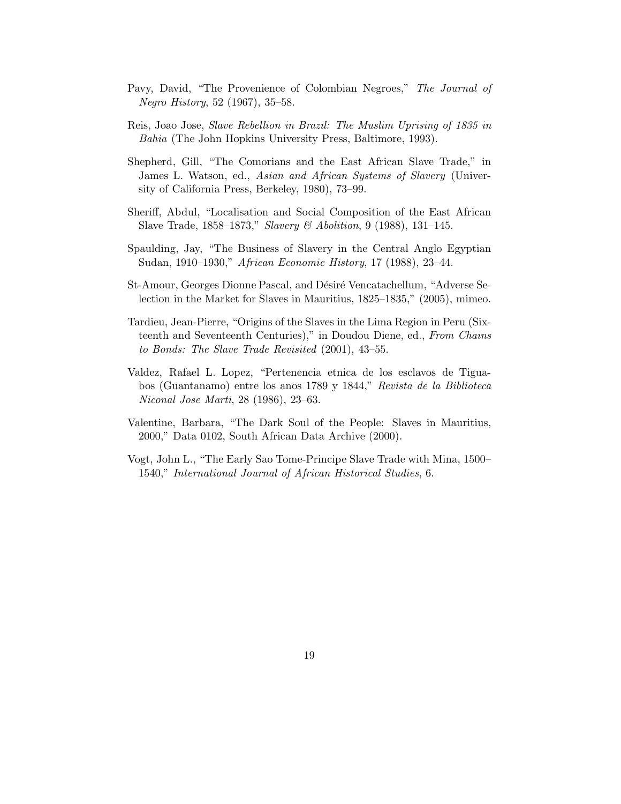- Pavy, David, "The Provenience of Colombian Negroes," The Journal of Negro History, 52 (1967), 35–58.
- Reis, Joao Jose, Slave Rebellion in Brazil: The Muslim Uprising of 1835 in Bahia (The John Hopkins University Press, Baltimore, 1993).
- Shepherd, Gill, "The Comorians and the East African Slave Trade," in James L. Watson, ed., Asian and African Systems of Slavery (University of California Press, Berkeley, 1980), 73–99.
- Sheriff, Abdul, "Localisation and Social Composition of the East African Slave Trade, 1858–1873," Slavery & Abolition, 9 (1988), 131–145.
- Spaulding, Jay, "The Business of Slavery in the Central Anglo Egyptian Sudan, 1910–1930," African Economic History, 17 (1988), 23–44.
- St-Amour, Georges Dionne Pascal, and Désiré Vencatachellum, "Adverse Selection in the Market for Slaves in Mauritius, 1825–1835," (2005), mimeo.
- Tardieu, Jean-Pierre, "Origins of the Slaves in the Lima Region in Peru (Sixteenth and Seventeenth Centuries)," in Doudou Diene, ed., From Chains to Bonds: The Slave Trade Revisited (2001), 43–55.
- Valdez, Rafael L. Lopez, "Pertenencia etnica de los esclavos de Tiguabos (Guantanamo) entre los anos 1789 y 1844," Revista de la Biblioteca Niconal Jose Marti, 28 (1986), 23–63.
- Valentine, Barbara, "The Dark Soul of the People: Slaves in Mauritius, 2000," Data 0102, South African Data Archive (2000).
- Vogt, John L., "The Early Sao Tome-Principe Slave Trade with Mina, 1500– 1540," International Journal of African Historical Studies, 6.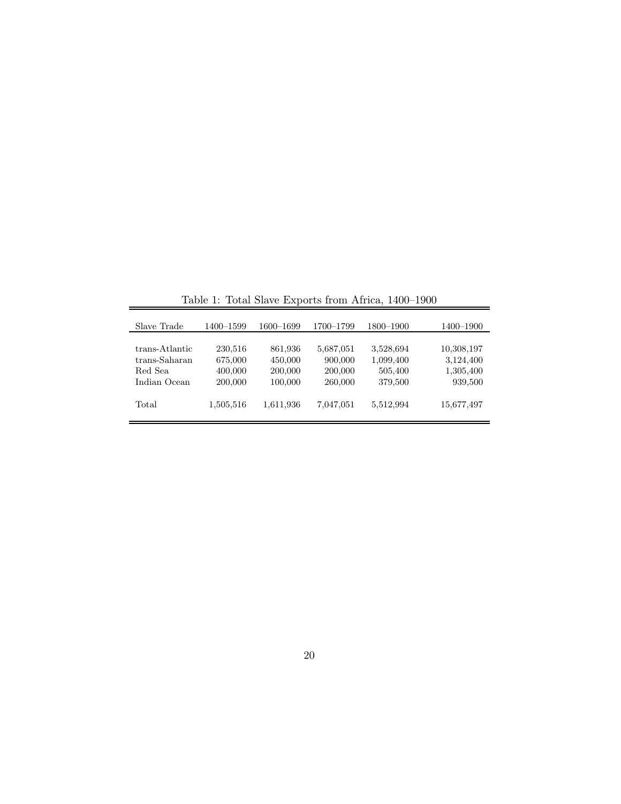| Slave Trade    | 1400-1599 | 1600-1699 | 1700–1799 | 1800-1900 | 1400–1900  |
|----------------|-----------|-----------|-----------|-----------|------------|
|                |           |           |           |           |            |
| trans-Atlantic | 230,516   | 861,936   | 5,687,051 | 3,528,694 | 10,308,197 |
| trans-Saharan  | 675,000   | 450,000   | 900,000   | 1,099,400 | 3,124,400  |
| Red Sea        | 400,000   | 200,000   | 200,000   | 505,400   | 1,305,400  |
| Indian Ocean   | 200,000   | 100,000   | 260,000   | 379,500   | 939,500    |
| Total          | 1,505,516 | 1,611,936 | 7,047,051 | 5,512,994 | 15,677,497 |

Table 1: Total Slave Exports from Africa, 1400–1900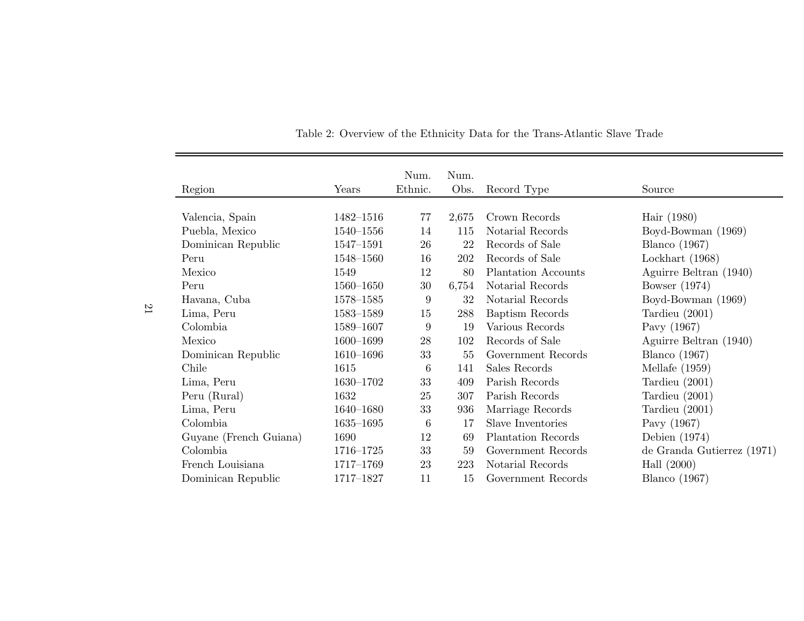| Region                         | Ethnic.<br>Years | Num.            | Num.<br>Obs. | Record Type         | Source                     |
|--------------------------------|------------------|-----------------|--------------|---------------------|----------------------------|
| Valencia, Spain                | 1482-1516        | 77              | 2,675        | Crown Records       | Hair (1980)                |
| Puebla, Mexico                 | $1540 - 1556$    | 14              | 115          | Notarial Records    | Boyd-Bowman (1969)         |
| Dominican Republic             | 1547-1591        | 26              | 22           | Records of Sale     | <b>Blanco</b> (1967)       |
| Peru                           | $1548 - 1560$    | 16              | 202          | Records of Sale     | Lockhart $(1968)$          |
| Mexico<br>1549                 |                  | 12              | 80           | Plantation Accounts | Aguirre Beltran (1940)     |
| Peru                           | $1560 - 1650$    | 30              | 6,754        | Notarial Records    | Bowser $(1974)$            |
| Havana, Cuba                   | $1578 - 1585$    | 9               | 32           | Notarial Records    | Boyd-Bowman (1969)         |
| Lima, Peru                     | $1583 - 1589$    | 15              | 288          | Baptism Records     | Tardieu $(2001)$           |
| Colombia                       | 1589-1607        | 9               | 19           | Various Records     | Pavy (1967)                |
| Mexico                         | 1600-1699        | 28              | 102          | Records of Sale     | Aguirre Beltran (1940)     |
| Dominican Republic             | $1610 - 1696$    | 33              | 55           | Government Records  | <b>Blanco</b> (1967)       |
| Chile<br>1615                  |                  | 6               | 141          | Sales Records       | Mellafe $(1959)$           |
| Lima, Peru                     | 1630-1702        | 33              | 409          | Parish Records      | Tardieu $(2001)$           |
| Peru (Rural)<br>1632           |                  | 25              | 307          | Parish Records      | Tardieu $(2001)$           |
| Lima, Peru                     | 1640-1680        | 33              | 936          | Marriage Records    | Tardieu $(2001)$           |
| Colombia                       | $1635 - 1695$    | $6\phantom{.}6$ | 17           | Slave Inventories   | Pavy (1967)                |
| Guyane (French Guiana)<br>1690 |                  | 12              | 69           | Plantation Records  | Debien $(1974)$            |
| Colombia                       | 1716-1725        | 33              | 59           | Government Records  | de Granda Gutierrez (1971) |
| French Louisiana               | 1717-1769        | 23              | 223          | Notarial Records    | Hall $(2000)$              |
| Dominican Republic             | 1717-1827        | 11              | 15           | Government Records  | Blanco $(1967)$            |

Table 2: Overview of the Ethnicity Data for the Trans-Atlantic Slave Trade

21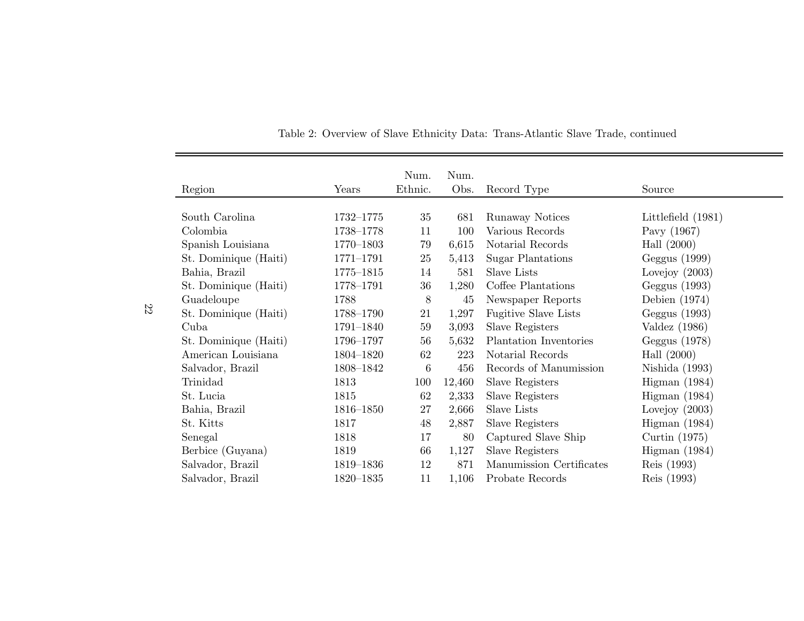| Region                | Years         | Num.<br>Ethnic. | Num.<br>Obs. | Record Type                 | Source             |
|-----------------------|---------------|-----------------|--------------|-----------------------------|--------------------|
| South Carolina        | 1732-1775     | 35              | 681          | Runaway Notices             | Littlefield (1981) |
| Colombia              | 1738-1778     | 11              | 100          | Various Records             | Pavy (1967)        |
| Spanish Louisiana     | 1770-1803     | 79              | 6,615        | Notarial Records            | Hall $(2000)$      |
| St. Dominique (Haiti) | $1771 - 1791$ | 25              | 5,413        | <b>Sugar Plantations</b>    | Geggus (1999)      |
| Bahia, Brazil         | 1775-1815     | 14              | 581          | Slave Lists                 | Lovejoy $(2003)$   |
| St. Dominique (Haiti) | 1778-1791     | 36              | 1,280        | Coffee Plantations          | Geggus (1993)      |
| Guadeloupe            | 1788          | 8               | 45           | Newspaper Reports           | Debien $(1974)$    |
| St. Dominique (Haiti) | 1788-1790     | 21              | 1,297        | <b>Fugitive Slave Lists</b> | Geggus (1993)      |
| Cuba                  | 1791-1840     | 59              | 3,093        | Slave Registers             | Valdez $(1986)$    |
| St. Dominique (Haiti) | 1796-1797     | 56              | 5,632        | Plantation Inventories      | Geggus (1978)      |
| American Louisiana    | 1804-1820     | 62              | 223          | Notarial Records            | Hall $(2000)$      |
| Salvador, Brazil      | 1808-1842     | 6               | 456          | Records of Manumission      | Nishida (1993)     |
| Trinidad              | 1813          | 100             | 12,460       | Slave Registers             | Higman $(1984)$    |
| St. Lucia             | 1815          | 62              | 2,333        | Slave Registers             | Higman $(1984)$    |
| Bahia, Brazil         | 1816-1850     | 27              | 2,666        | Slave Lists                 | Lovejoy $(2003)$   |
| St. Kitts             | 1817          | 48              | 2,887        | Slave Registers             | Higman $(1984)$    |
| Senegal               | 1818          | 17              | 80           | Captured Slave Ship         | Curtin $(1975)$    |
| Berbice (Guyana)      | 1819          | 66              | 1,127        | Slave Registers             | Higman $(1984)$    |
| Salvador, Brazil      | 1819–1836     | 12              | 871          | Manumission Certificates    | Reis (1993)        |
| Salvador, Brazil      | $1820 - 1835$ | 11              | 1,106        | Probate Records             | Reis (1993)        |

Table 2: Overview of Slave Ethnicity Data: Trans-Atlantic Slave Trade, continued

22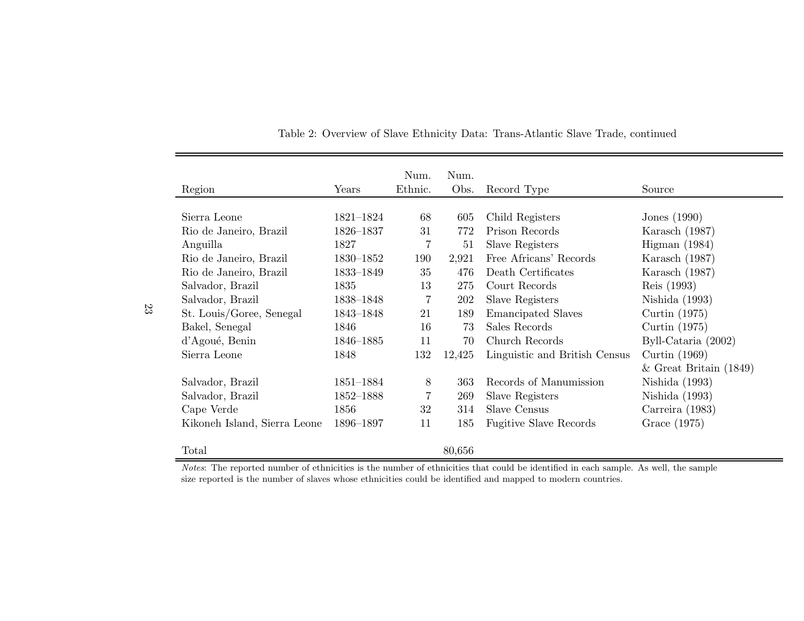|                              |           | Num.    | Num.   |                               |                          |
|------------------------------|-----------|---------|--------|-------------------------------|--------------------------|
| Region                       | Years     | Ethnic. | Obs.   | Record Type                   | Source                   |
| Sierra Leone                 | 1821-1824 | 68      | 605    | Child Registers               | Jones $(1990)$           |
| Rio de Janeiro, Brazil       | 1826-1837 | 31      | 772    | Prison Records                | Karasch $(1987)$         |
| Anguilla                     | 1827      | 7       | 51     | Slave Registers               | Higman (1984)            |
| Rio de Janeiro, Brazil       | 1830–1852 | 190     | 2,921  | Free Africans' Records        | Karasch $(1987)$         |
| Rio de Janeiro, Brazil       | 1833-1849 | 35      | 476    | Death Certificates            | Karasch $(1987)$         |
| Salvador, Brazil             | 1835      | 13      | 275    | Court Records                 | Reis (1993)              |
| Salvador, Brazil             | 1838-1848 | 7       | 202    | Slave Registers               | Nishida $(1993)$         |
| St. Louis/Goree, Senegal     | 1843-1848 | 21      | 189    | <b>Emancipated Slaves</b>     | Curtin $(1975)$          |
| Bakel, Senegal               | 1846      | 16      | 73     | Sales Records                 | Curtin $(1975)$          |
| d'Agoué, Benin               | 1846-1885 | 11      | 70     | Church Records                | Byll-Cataria (2002)      |
| Sierra Leone                 | 1848      | 132     | 12,425 | Linguistic and British Census | Curtin $(1969)$          |
|                              |           |         |        |                               | $&$ Great Britain (1849) |
| Salvador, Brazil             | 1851-1884 | 8       | 363    | Records of Manumission        | Nishida $(1993)$         |
| Salvador, Brazil             | 1852-1888 | 7       | 269    | Slave Registers               | Nishida $(1993)$         |
| Cape Verde                   | 1856      | 32      | 314    | Slave Census                  | Carreira (1983)          |
| Kikoneh Island, Sierra Leone | 1896-1897 | 11      | 185    | <b>Fugitive Slave Records</b> | Grace (1975)             |
| Total                        |           |         | 80,656 |                               |                          |

Table 2: Overview of Slave Ethnicity Data: Trans-Atlantic Slave Trade, continued

Notes: The reported number of ethnicities is the number of ethnicities that could be identified in each sample. As well, the samplesize reported is the number of slaves whose ethnicities could be identified and mapped to modern countries.

23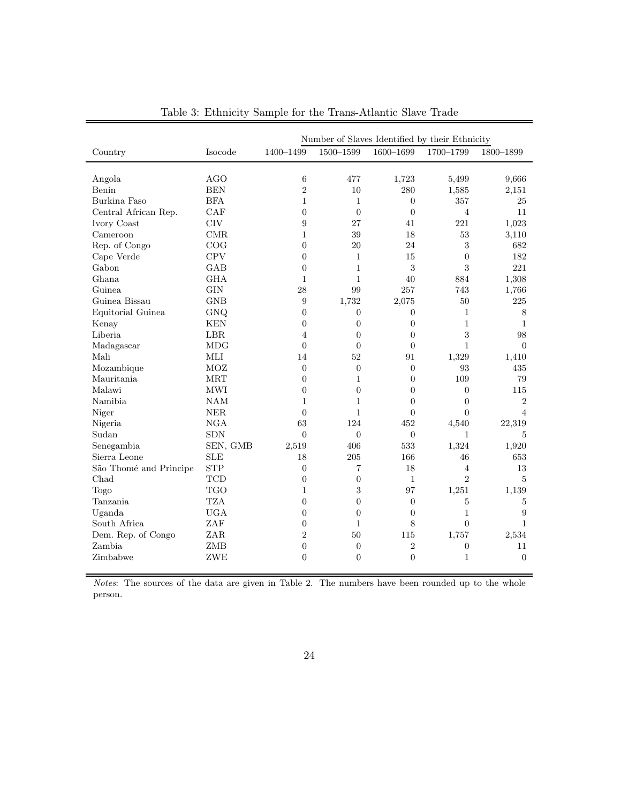|                        | Number of Slaves Identified by their Ethnicity |                  |                |                |                  |                |  |
|------------------------|------------------------------------------------|------------------|----------------|----------------|------------------|----------------|--|
| Country                | Isocode                                        | 1400-1499        | 1500-1599      | $1600 - 1699$  | 1700-1799        | 1800-1899      |  |
|                        |                                                |                  |                |                |                  |                |  |
| Angola                 | <b>AGO</b>                                     | 6                | 477            | 1,723          | 5,499            | 9,666          |  |
| Benin                  | <b>BEN</b>                                     | $\sqrt{2}$       | 10             | 280            | 1,585            | 2,151          |  |
| Burkina Faso           | <b>BFA</b>                                     | $\mathbf{1}$     | $\mathbf{1}$   | $\Omega$       | 357              | 25             |  |
| Central African Rep.   | CAF                                            | $\overline{0}$   | $\Omega$       | $\overline{0}$ | $\overline{4}$   | 11             |  |
| Ivory Coast            | <b>CIV</b>                                     | 9                | 27             | 41             | 221              | 1,023          |  |
| Cameroon               | CMR                                            | $\mathbf{1}$     | 39             | 18             | 53               | 3,110          |  |
| Rep. of Congo          | COG                                            | $\overline{0}$   | 20             | 24             | 3                | 682            |  |
| Cape Verde             | <b>CPV</b>                                     | $\overline{0}$   | $\mathbf{1}$   | 15             | $\overline{0}$   | 182            |  |
| Gabon                  | <b>GAB</b>                                     | $\overline{0}$   | 1              | 3              | 3                | 221            |  |
| Ghana                  | <b>GHA</b>                                     | $\mathbf{1}$     | $\mathbf{1}$   | 40             | 884              | 1,308          |  |
| Guinea.                | <b>GIN</b>                                     | 28               | 99             | 257            | 743              | 1,766          |  |
| Guinea Bissau          | <b>GNB</b>                                     | 9                | 1,732          | 2,075          | 50               | 225            |  |
| Equitorial Guinea      | GNQ                                            | $\boldsymbol{0}$ | $\theta$       | 0              | $\mathbf{1}$     | 8              |  |
| Kenay                  | <b>KEN</b>                                     | $\boldsymbol{0}$ | $\overline{0}$ | 0              | $\mathbf{1}$     | $\mathbf{1}$   |  |
| Liberia                | LBR                                            | 4                | $\overline{0}$ | $\overline{0}$ | $\sqrt{3}$       | 98             |  |
| Madagascar             | <b>MDG</b>                                     | $\overline{0}$   | $\Omega$       | $\theta$       | $\mathbf{1}$     | $\Omega$       |  |
| Mali                   | MLI                                            | 14               | 52             | 91             | 1,329            | 1,410          |  |
| Mozambique             | MOZ                                            | $\overline{0}$   | $\theta$       | $\overline{0}$ | 93               | 435            |  |
| Mauritania             | <b>MRT</b>                                     | $\overline{0}$   | $\mathbf{1}$   | $\overline{0}$ | 109              | 79             |  |
| Malawi                 | <b>MWI</b>                                     | $\overline{0}$   | $\theta$       | $\overline{0}$ | $\overline{0}$   | 115            |  |
| Namibia                | <b>NAM</b>                                     | $\mathbf{1}$     | $\mathbf{1}$   | $\theta$       | $\overline{0}$   | $\overline{2}$ |  |
| Niger                  | $\operatorname{NER}$                           | $\overline{0}$   | $\mathbf{1}$   | $\overline{0}$ | $\overline{0}$   | $\overline{4}$ |  |
| Nigeria                | <b>NGA</b>                                     | 63               | 124            | 452            | 4,540            | 22,319         |  |
| Sudan                  | <b>SDN</b>                                     | $\boldsymbol{0}$ | $\overline{0}$ | $\overline{0}$ | $\mathbf{1}$     | 5              |  |
| Senegambia             | SEN, GMB                                       | 2,519            | 406            | 533            | 1,324            | 1,920          |  |
| Sierra Leone           | <b>SLE</b>                                     | 18               | 205            | 166            | 46               | 653            |  |
| São Thomé and Principe | <b>STP</b>                                     | $\overline{0}$   | $\overline{7}$ | 18             | $\,4\,$          | 13             |  |
| Chad                   | $\operatorname{TCD}$                           | $\overline{0}$   | $\overline{0}$ | $\mathbf{1}$   | $\overline{2}$   | $\overline{5}$ |  |
| Togo                   | <b>TGO</b>                                     | 1                | 3              | 97             | 1,251            | 1,139          |  |
| Tanzania               | <b>TZA</b>                                     | $\overline{0}$   | $\overline{0}$ | $\overline{0}$ | 5                | 5              |  |
| Uganda                 | <b>UGA</b>                                     | $\overline{0}$   | $\overline{0}$ | $\overline{0}$ | $\mathbf{1}$     | 9              |  |
| South Africa           | ZAF                                            | $\overline{0}$   | $\mathbf{1}$   | 8              | $\Omega$         | $\mathbf{1}$   |  |
| Dem. Rep. of Congo     | ZAR.                                           | $\overline{2}$   | 50             | 115            | 1,757            | 2,534          |  |
| Zambia                 | <b>ZMB</b>                                     | $\overline{0}$   | $\theta$       | $\overline{2}$ | $\boldsymbol{0}$ | 11             |  |
| Zimbabwe               | ZWE                                            | $\overline{0}$   | $\theta$       | $\theta$       | $\mathbf{1}$     | $\Omega$       |  |
|                        |                                                |                  |                |                |                  |                |  |

Table 3: Ethnicity Sample for the Trans-Atlantic Slave Trade

Notes: The sources of the data are given in Table 2. The numbers have been rounded up to the whole person.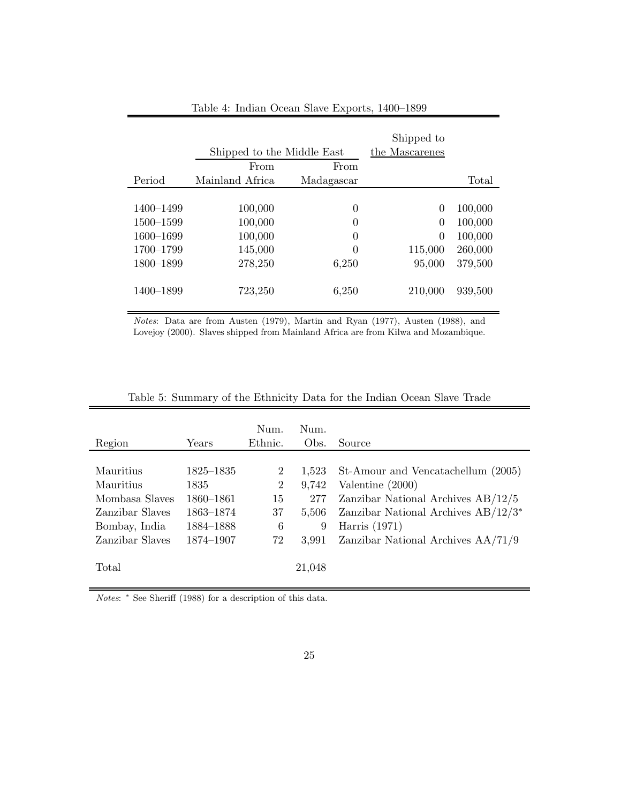|           | Shipped to the Middle East | Shipped to<br>the Mascarenes |          |         |
|-----------|----------------------------|------------------------------|----------|---------|
|           | From                       | From                         |          |         |
| Period    | Mainland Africa            | Madagascar                   |          | Total   |
|           |                            |                              |          |         |
| 1400-1499 | 100,000                    | 0                            | 0        | 100,000 |
| 1500-1599 | 100,000                    | 0                            | $\Omega$ | 100,000 |
| 1600-1699 | 100,000                    | $\theta$                     | $\theta$ | 100,000 |
| 1700-1799 | 145,000                    | 0                            | 115,000  | 260,000 |
| 1800-1899 | 278,250                    | 6,250                        | 95,000   | 379,500 |
| 1400-1899 | 723,250                    | 6,250                        | 210,000  | 939,500 |

Table 4: Indian Ocean Slave Exports, 1400–1899

Notes: Data are from Austen (1979), Martin and Ryan (1977), Austen (1988), and Lovejoy (2000). Slaves shipped from Mainland Africa are from Kilwa and Mozambique.

|                 |           | Num.           | Num.   |                                        |
|-----------------|-----------|----------------|--------|----------------------------------------|
| Region          | Years     | Ethnic.        | Obs.   | Source                                 |
|                 |           |                |        |                                        |
| Mauritius       | 1825–1835 | $\overline{2}$ | 1,523  | St-Amour and Vencatachellum (2005)     |
| Mauritius       | 1835      | $\overline{2}$ | 9,742  | Valentine (2000)                       |
| Mombasa Slaves  | 1860-1861 | 15             | 277    | Zanzibar National Archives $AB/12/5$   |
| Zanzibar Slaves | 1863–1874 | 37             | 5,506  | Zanzibar National Archives $AB/12/3^*$ |
| Bombay, India   | 1884-1888 | 6              | 9      | Harris $(1971)$                        |
| Zanzibar Slaves | 1874-1907 | 72             | 3,991  | Zanzibar National Archives $AA/71/9$   |
|                 |           |                |        |                                        |
| Total           |           |                | 21,048 |                                        |
|                 |           |                |        |                                        |

Table 5: Summary of the Ethnicity Data for the Indian Ocean Slave Trade

Notes:  $*$  See Sheriff (1988) for a description of this data.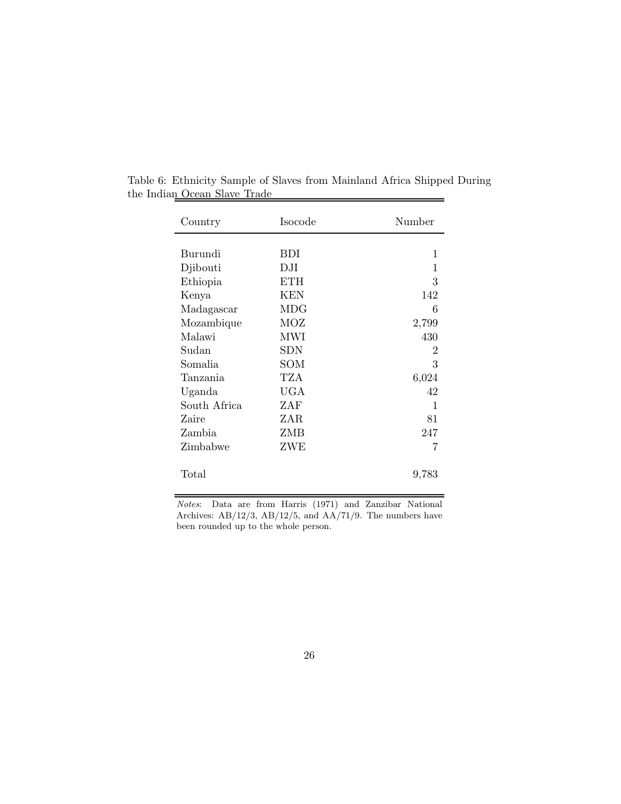| Country      | Isocode    | Number         |
|--------------|------------|----------------|
|              |            |                |
| Burundi      | <b>BDI</b> | 1              |
| Djibouti     | DJI        | 1              |
| Ethiopia     | <b>ETH</b> | 3              |
| Kenya        | <b>KEN</b> | 142            |
| Madagascar   | MDG        | 6              |
| Mozambique   | MOZ        | 2,799          |
| Malawi       | <b>MWI</b> | 430            |
| Sudan        | <b>SDN</b> | $\overline{2}$ |
| Somalia      | SOM        | 3              |
| Tanzania     | TZA        | 6,024          |
| Uganda       | <b>UGA</b> | 42             |
| South Africa | ZAF        | 1              |
| Zaire        | ZAR        | 81             |
| Zambia       | ZMB        | 247            |
| Zimbabwe     | ZWE        | 7              |
| Total        |            | 9,783          |

Table 6: Ethnicity Sample of Slaves from Mainland Africa Shipped During the Indian Ocean Slave Trade

Notes: Data are from Harris (1971) and Zanzibar National Archives: AB/12/3, AB/12/5, and AA/71/9. The numbers have been rounded up to the whole person.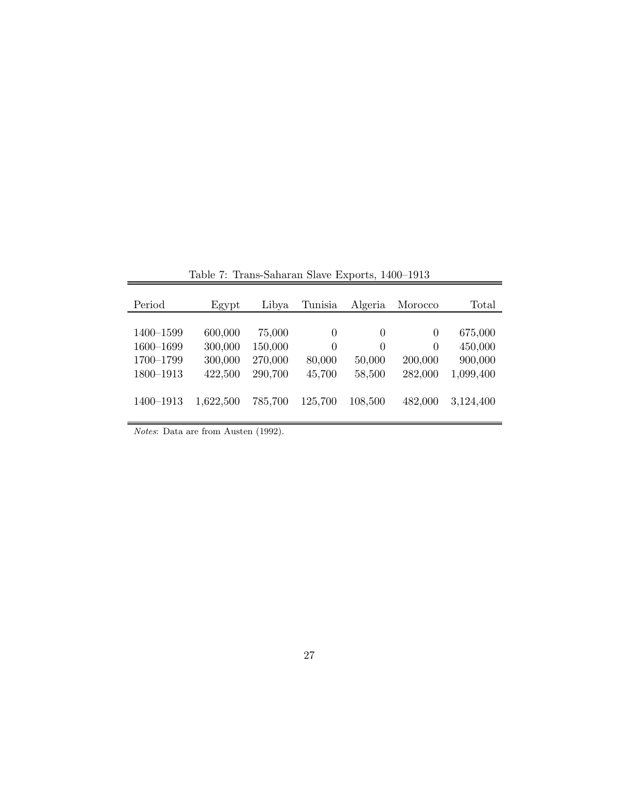| Period    | Egypt     | Libya   | Tunisia  | Algeria  | Morocco  | Total     |
|-----------|-----------|---------|----------|----------|----------|-----------|
|           |           |         |          |          |          |           |
| 1400-1599 | 600,000   | 75,000  | $\theta$ | $\theta$ | 0        | 675,000   |
| 1600-1699 | 300,000   | 150,000 | 0        | $\Omega$ | $\Omega$ | 450,000   |
| 1700-1799 | 300,000   | 270,000 | 80,000   | 50,000   | 200,000  | 900,000   |
| 1800-1913 | 422,500   | 290,700 | 45,700   | 58,500   | 282,000  | 1,099,400 |
|           |           |         |          |          |          |           |
| 1400-1913 | 1,622,500 | 785,700 | 125,700  | 108,500  | 482,000  | 3,124,400 |
|           |           |         |          |          |          |           |

Table 7: Trans-Saharan Slave Exports, 1400–1913

 $\overline{a}$ 

Notes: Data are from Austen (1992).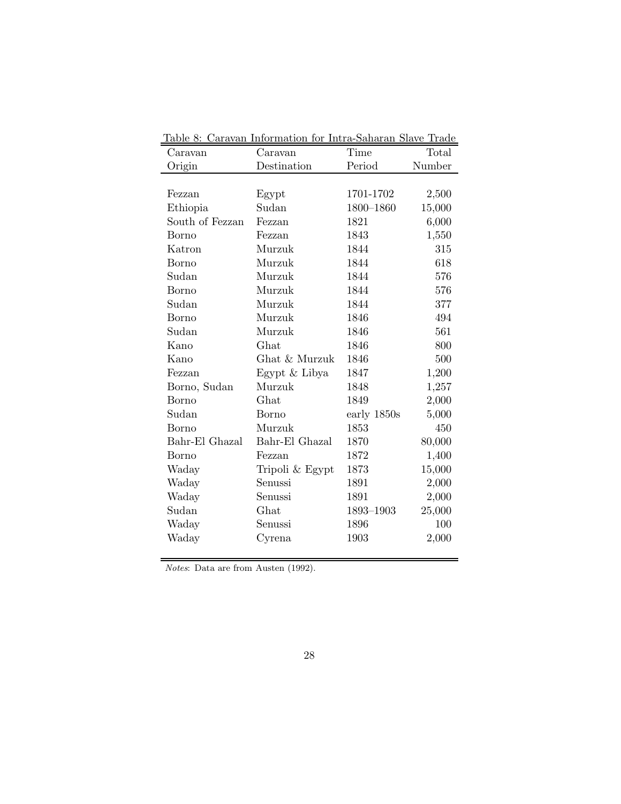|                 | <u> Iable 8: Caravan Information for Intra-Saharan Slave Trade</u> |             |        |
|-----------------|--------------------------------------------------------------------|-------------|--------|
| Caravan         | Caravan                                                            | Time        | Total  |
| Origin          | Destination                                                        | Period      | Number |
|                 |                                                                    |             |        |
| Fezzan          | Egypt                                                              | 1701-1702   | 2,500  |
| Ethiopia        | Sudan                                                              | 1800-1860   | 15,000 |
| South of Fezzan | Fezzan                                                             | 1821        | 6,000  |
| Borno           | Fezzan                                                             | 1843        | 1,550  |
| Katron          | Murzuk                                                             | 1844        | 315    |
| Borno           | Murzuk                                                             | 1844        | 618    |
| Sudan           | Murzuk                                                             | 1844        | 576    |
| Borno           | Murzuk                                                             | 1844        | 576    |
| Sudan           | Murzuk                                                             | 1844        | 377    |
| Borno           | Murzuk                                                             | 1846        | 494    |
| Sudan           | Murzuk                                                             | 1846        | 561    |
| Kano            | Ghat                                                               | 1846        | 800    |
| Kano            | Ghat & Murzuk                                                      | 1846        | 500    |
| Fezzan          | Egypt & Libya                                                      | 1847        | 1,200  |
| Borno, Sudan    | Murzuk                                                             | 1848        | 1,257  |
| Borno           | Ghat                                                               | 1849        | 2,000  |
| Sudan           | Borno                                                              | early 1850s | 5,000  |
| Borno           | Murzuk                                                             | 1853        | 450    |
| Bahr-El Ghazal  | Bahr-El Ghazal                                                     | 1870        | 80,000 |
| Borno           | Fezzan                                                             | 1872        | 1,400  |
| Waday           | Tripoli & Egypt                                                    | 1873        | 15,000 |
| Waday           | Senussi                                                            | 1891        | 2,000  |
| Waday           | Senussi                                                            | 1891        | 2,000  |
| Sudan           | Ghat                                                               | 1893-1903   | 25,000 |
| Waday           | Senussi                                                            | 1896        | 100    |
| Waday           | Cyrena                                                             | 1903        | 2,000  |
|                 |                                                                    |             |        |

Table 8: Caravan Information for Intra-Saharan Slave Trade

Notes: Data are from Austen (1992).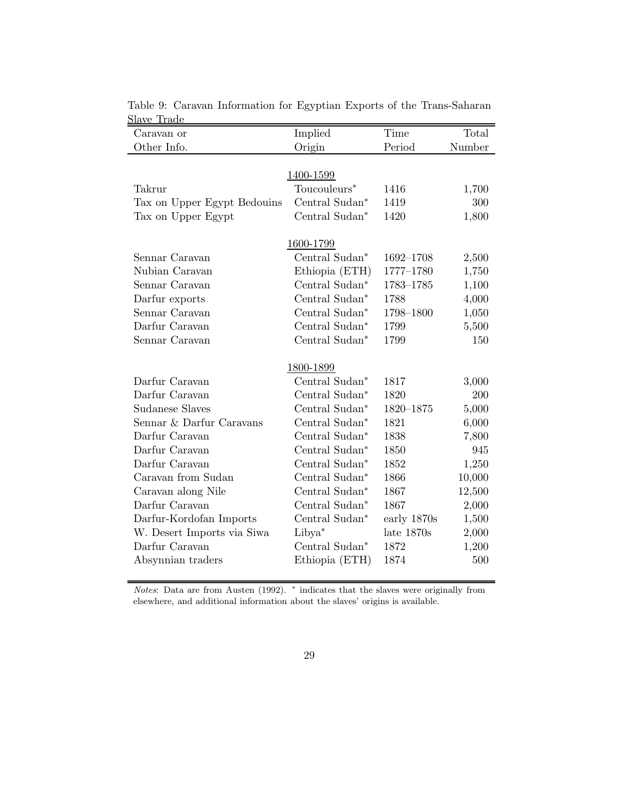| Caravan or                  | Implied            | Time          | Total  |
|-----------------------------|--------------------|---------------|--------|
| Other Info.                 | Origin             | Period        | Number |
|                             |                    |               |        |
|                             | 1400-1599          |               |        |
| Takrur                      | $Toucouleurs*$     | 1416          | 1,700  |
| Tax on Upper Egypt Bedouins | Central Sudan*     | 1419          | 300    |
| Tax on Upper Egypt          | Central Sudan*     | 1420          | 1,800  |
|                             | 1600-1799          |               |        |
| Sennar Caravan              | Central Sudan*     | 1692-1708     | 2,500  |
| Nubian Caravan              | Ethiopia (ETH)     | $1777 - 1780$ | 1,750  |
| Sennar Caravan              | Central Sudan*     | 1783-1785     | 1,100  |
| Darfur exports              | Central Sudan*     | 1788          | 4,000  |
| Sennar Caravan              | Central Sudan*     | 1798-1800     | 1,050  |
| Darfur Caravan              | Central Sudan*     | 1799          | 5,500  |
| Sennar Caravan              | Central Sudan*     | 1799          | 150    |
|                             | 1800-1899          |               |        |
| Darfur Caravan              | Central Sudan*     | 1817          | 3,000  |
| Darfur Caravan              | Central Sudan*     | 1820          | 200    |
| <b>Sudanese Slaves</b>      | Central Sudan*     | 1820-1875     | 5,000  |
| Sennar & Darfur Caravans    | Central Sudan*     | 1821          | 6,000  |
| Darfur Caravan              | Central Sudan*     | 1838          | 7,800  |
| Darfur Caravan              | Central Sudan*     | 1850          | 945    |
| Darfur Caravan              | Central Sudan*     | 1852          | 1,250  |
| Caravan from Sudan          | Central Sudan*     | 1866          | 10,000 |
| Caravan along Nile          | Central Sudan*     | 1867          | 12,500 |
| Darfur Caravan              | Central Sudan*     | 1867          | 2,000  |
| Darfur-Kordofan Imports     | Central Sudan*     | early 1870s   | 1,500  |
| W. Desert Imports via Siwa  | Libya <sup>*</sup> | late 1870s    | 2,000  |
| Darfur Caravan              | Central Sudan*     | 1872          | 1,200  |
| Absynnian traders           | Ethiopia (ETH)     | 1874          | 500    |
|                             |                    |               |        |

Table 9: Caravan Information for Egyptian Exports of the Trans-Saharan Slave Trade

Notes: Data are from Austen (1992). <sup>\*</sup> indicates that the slaves were originally from elsewhere, and additional information about the slaves' origins is available.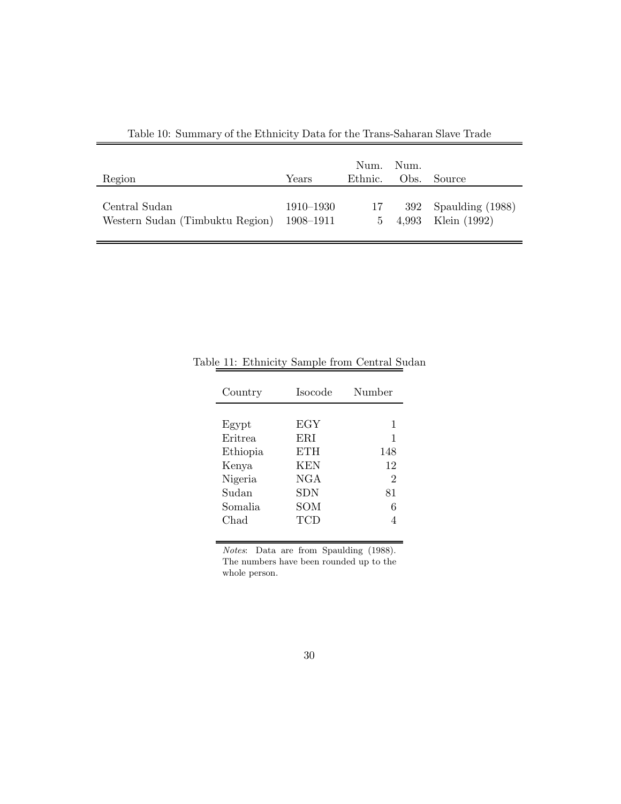| Region                          | Years     | Num.<br>Ethnic. | Num.<br>Obs. | Source                 |
|---------------------------------|-----------|-----------------|--------------|------------------------|
| Central Sudan                   | 1910–1930 | 17              |              | $392$ Spaulding (1988) |
| Western Sudan (Timbuktu Region) | 1908–1911 | $5 -$           |              | 4,993 Klein (1992)     |

Table 10: Summary of the Ethnicity Data for the Trans-Saharan Slave Trade

| Country                                          | Isocode                                | Number                                |
|--------------------------------------------------|----------------------------------------|---------------------------------------|
| Egypt<br>Eritrea<br>Ethiopia<br>Kenya<br>Nigeria | EGY<br>ERI<br>ETH<br><b>KEN</b><br>NGA | 1<br>1<br>148<br>12<br>$\overline{2}$ |
| Sudan<br>Somalia<br>Chad                         | ${\rm SDN}$<br>SOM<br>TCD              | 81<br>6                               |

Table 11: Ethnicity Sample from Central Sudan

Notes: Data are from Spaulding (1988). The numbers have been rounded up to the whole person.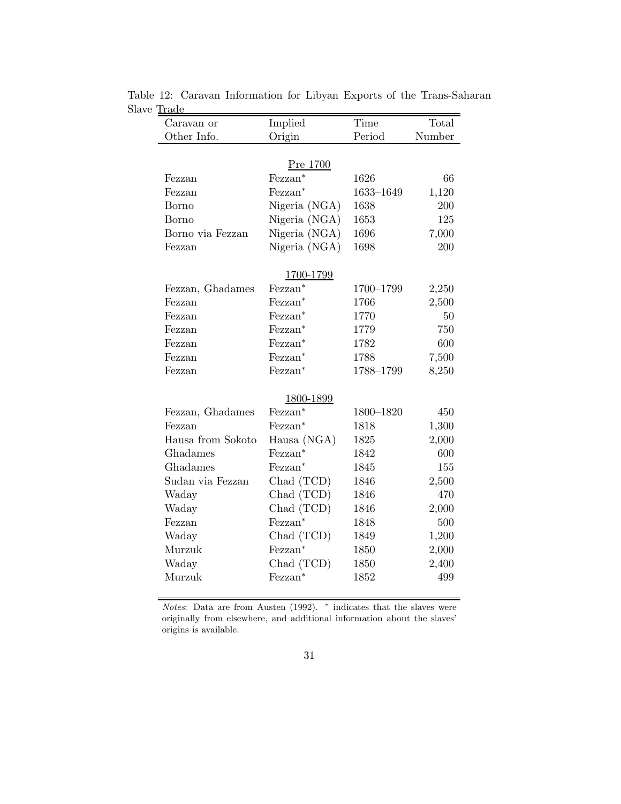| Caravan or        | Implied             | Time      | Total  |
|-------------------|---------------------|-----------|--------|
| Other Info.       | Origin              | Period    | Number |
|                   |                     |           |        |
|                   | Pre 1700            |           |        |
| Fezzan            | Fezzan*             | 1626      | 66     |
| Fezzan            | Fezzan*             | 1633-1649 | 1,120  |
| Borno             | Nigeria (NGA)       | 1638      | 200    |
| Borno             | Nigeria (NGA)       | 1653      | 125    |
| Borno via Fezzan  | Nigeria (NGA)       | 1696      | 7,000  |
| Fezzan            | Nigeria (NGA)       | 1698      | 200    |
|                   |                     |           |        |
|                   | 1700-1799           |           |        |
| Fezzan, Ghadames  | Fezzan*             | 1700-1799 | 2,250  |
| Fezzan            | Fezzan <sup>*</sup> | 1766      | 2,500  |
| Fezzan            | Fezzan <sup>*</sup> | 1770      | 50     |
| Fezzan            | Fezzan*             | 1779      | 750    |
| Fezzan            | Fezzan*             | 1782      | 600    |
| Fezzan            | Fezzan <sup>*</sup> | 1788      | 7,500  |
| Fezzan            | Fezzan <sup>*</sup> | 1788-1799 | 8,250  |
|                   |                     |           |        |
|                   | 1800-1899           |           |        |
| Fezzan, Ghadames  | Fezzan*             | 1800-1820 | 450    |
| Fezzan            | Fezzan*             | 1818      | 1,300  |
| Hausa from Sokoto | Hausa (NGA)         | 1825      | 2,000  |
| Ghadames          | Fezzan <sup>*</sup> | 1842      | 600    |
| Ghadames          | Fezzan*             | 1845      | 155    |
| Sudan via Fezzan  | Chad (TCD)          | 1846      | 2,500  |
| Waday             | Chad (TCD)          | 1846      | 470    |
| Waday             | Chad (TCD)          | 1846      | 2,000  |
| Fezzan            | Fezzan <sup>*</sup> | 1848      | 500    |
| Waday             | Chad (TCD)          | 1849      | 1,200  |
| Murzuk            | Fezzan <sup>*</sup> | 1850      | 2,000  |
| Waday             | Chad (TCD)          | 1850      | 2,400  |
| Murzuk            | Fezzan*             | 1852      | 499    |

Table 12: Caravan Information for Libyan Exports of the Trans-Saharan Slave Trade

Notes: Data are from Austen (1992). <sup>\*</sup> indicates that the slaves were originally from elsewhere, and additional information about the slaves' origins is available.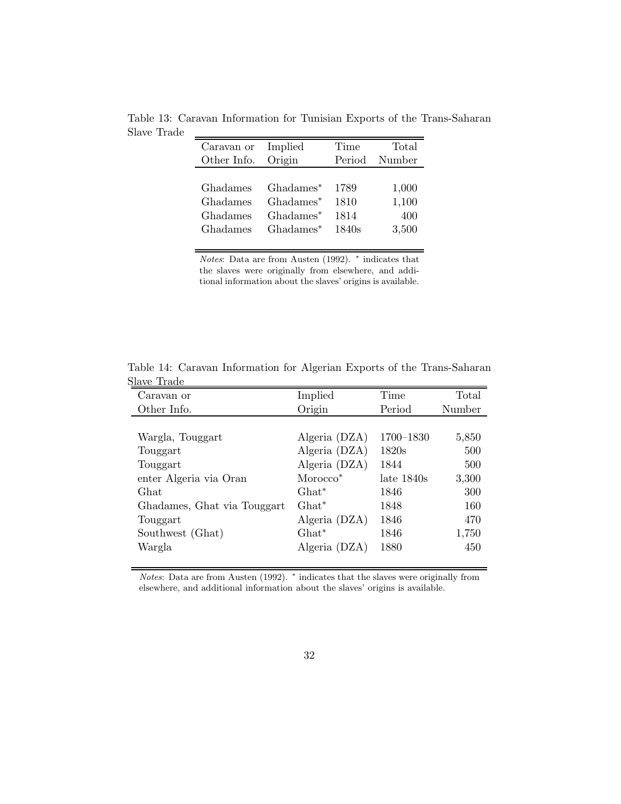Table 13: Caravan Information for Tunisian Exports of the Trans-Saharan Slave Trade Ξ,

| Caravan or  | Implied               | Time   | Total  |
|-------------|-----------------------|--------|--------|
| Other Info. | Origin                | Period | Number |
|             |                       |        |        |
| Ghadames    | Ghadames <sup>*</sup> | 1789   | 1,000  |
| Ghadames    | Ghadames <sup>*</sup> | 1810   | 1,100  |
| Ghadames    | Ghadames <sup>*</sup> | 1814   | 400    |
| Ghadames    | Ghadames <sup>*</sup> | 1840s  | 3,500  |
|             |                       |        |        |

Notes: Data are from Austen (1992). <sup>∗</sup> indicates that the slaves were originally from elsewhere, and additional information about the slaves' origins is available.

| Caravan or                  | Implied              | Time          | Total  |
|-----------------------------|----------------------|---------------|--------|
| Other Info.                 | Origin               | Period        | Number |
|                             |                      |               |        |
| Wargla, Touggart            | Algeria (DZA)        | 1700-1830     | 5,850  |
| Touggart                    | Algeria (DZA)        | 1820s         | 500    |
| Touggart                    | Algeria (DZA)        | 1844          | 500    |
| enter Algeria via Oran      | Morocco <sup>*</sup> | $late\ 1840s$ | 3,300  |
| Ghat                        | $Ghat^*$             | 1846          | 300    |
| Ghadames, Ghat via Touggart | $Ghat^*$             | 1848          | 160    |
| Touggart                    | Algeria (DZA)        | 1846          | 470    |
| Southwest (Ghat)            | $Ghat^*$             | 1846          | 1,750  |
| Wargla                      | Algeria (DZA)        | 1880          | 450    |
|                             |                      |               |        |

Table 14: Caravan Information for Algerian Exports of the Trans-Saharan Slave Trade

Notes: Data are from Austen (1992). \* indicates that the slaves were originally from elsewhere, and additional information about the slaves' origins is available.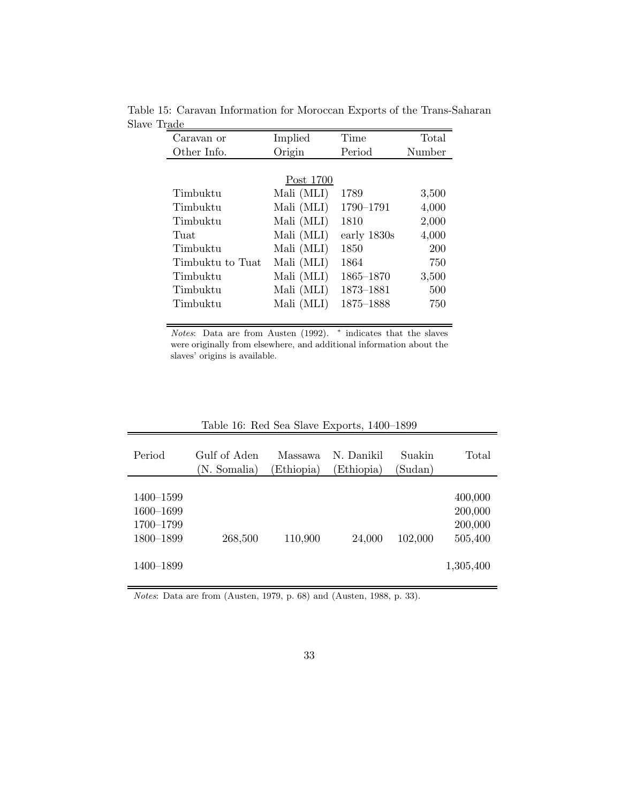| Caravan or       | Implied    | Time        | Total  |
|------------------|------------|-------------|--------|
| Other Info.      | Origin     | Period      | Number |
|                  |            |             |        |
|                  | Post 1700  |             |        |
| Timbuktu         | Mali (MLI) | 1789        | 3,500  |
| Timbuktu         | Mali (MLI) | 1790-1791   | 4,000  |
| Timbuktu         | Mali (MLI) | 1810        | 2,000  |
| Tuat             | Mali (MLI) | early 1830s | 4,000  |
| Timbuktu         | Mali (MLI) | 1850        | 200    |
| Timbuktu to Tuat | Mali (MLI) | 1864        | 750    |
| Timbuktu         | Mali (MLI) | 1865-1870   | 3,500  |
| Timbuktu         | Mali (MLI) | 1873-1881   | 500    |
| Timbuktu         | Mali (MLI) | 1875-1888   | 750    |

Table 15: Caravan Information for Moroccan Exports of the Trans-Saharan Slave Trade

Notes: Data are from Austen (1992). <sup>∗</sup> indicates that the slaves were originally from elsewhere, and additional information about the slaves' origins is available.

| Period                                                        | Gulf of Aden<br>(N. Somalia) | Massawa<br>Ethiopia) | N. Danikil<br>Ethiopia) | Suakin<br>(Sudan) | Total                                                 |
|---------------------------------------------------------------|------------------------------|----------------------|-------------------------|-------------------|-------------------------------------------------------|
| 1400–1599<br>1600-1699<br>1700-1799<br>1800-1899<br>1400–1899 | 268,500                      | 110,900              | 24,000                  | 102,000           | 400,000<br>200,000<br>200,000<br>505,400<br>1,305,400 |

Table 16: Red Sea Slave Exports, 1400–1899

Notes: Data are from (Austen, 1979, p. 68) and (Austen, 1988, p. 33).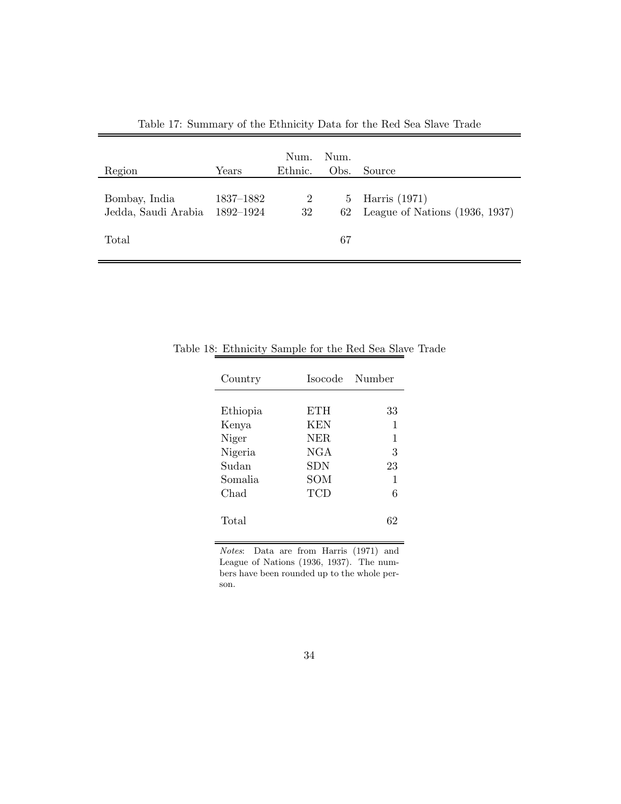| Region                               | Years                  | Num.<br>Ethnic.      | Num.<br>Obs.      | Source                                            |
|--------------------------------------|------------------------|----------------------|-------------------|---------------------------------------------------|
| Bombay, India<br>Jedda, Saudi Arabia | 1837–1882<br>1892-1924 | $\overline{2}$<br>32 | $5^{\circ}$<br>62 | Harris (1971)<br>League of Nations $(1936, 1937)$ |
| Total                                |                        |                      | 67                |                                                   |

Table 17: Summary of the Ethnicity Data for the Red Sea Slave Trade

| Country  |            | Isocode Number |
|----------|------------|----------------|
|          |            |                |
| Ethiopia | <b>ETH</b> | 33             |
| Kenya    | KEN        | 1              |
| Niger    | NER.       | 1              |
| Nigeria  | NGA        | 3              |
| Sudan    | SDN        | 23             |
| Somalia  | SOM        | 1              |
| Chad     | TCD        | 6              |
| Total    |            | 62             |

Table 18: Ethnicity Sample for the Red Sea Slave Trade

Notes: Data are from Harris (1971) and League of Nations (1936, 1937). The numbers have been rounded up to the whole person.